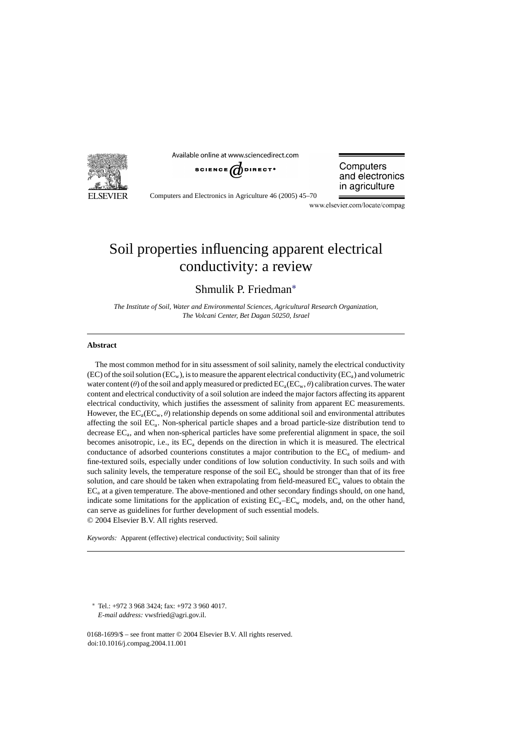

Available online at www.sciencedirect.com



Computers and electronics in agriculture

Computers and Electronics in Agriculture 46 (2005) 45–70

www.elsevier.com/locate/compag

# Soil properties influencing apparent electrical conductivity: a review

Shmulik P. Friedman∗

*The Institute of Soil, Water and Environmental Sciences, Agricultural Research Organization, The Volcani Center, Bet Dagan 50250, Israel*

### **Abstract**

The most common method for in situ assessment of soil salinity, namely the electrical conductivity (EC) of the soil solution (EC<sub>w</sub>), is to measure the apparent electrical conductivity (EC<sub>a</sub>) and volumetric water content (θ) of the soil and apply measured or predicted  $EC_a(EC_w, \theta)$  calibration curves. The water content and electrical conductivity of a soil solution are indeed the major factors affecting its apparent electrical conductivity, which justifies the assessment of salinity from apparent EC measurements. However, the  $EC_a(EC_w, \theta)$  relationship depends on some additional soil and environmental attributes affecting the soil ECa. Non-spherical particle shapes and a broad particle-size distribution tend to decrease ECa, and when non-spherical particles have some preferential alignment in space, the soil becomes anisotropic, i.e., its  $EC_a$  depends on the direction in which it is measured. The electrical conductance of adsorbed counterions constitutes a major contribution to the  $EC<sub>a</sub>$  of medium- and fine-textured soils, especially under conditions of low solution conductivity. In such soils and with such salinity levels, the temperature response of the soil  $EC<sub>a</sub>$  should be stronger than that of its free solution, and care should be taken when extrapolating from field-measured  $EC<sub>a</sub>$  values to obtain the  $EC<sub>a</sub>$  at a given temperature. The above-mentioned and other secondary findings should, on one hand, indicate some limitations for the application of existing  $EC_a-EC_w$  models, and, on the other hand, can serve as guidelines for further development of such essential models. © 2004 Elsevier B.V. All rights reserved.

*Keywords:* Apparent (effective) electrical conductivity; Soil salinity

∗ Tel.: +972 3 968 3424; fax: +972 3 960 4017. *E-mail address:* vwsfried@agri.gov.il.

0168-1699/\$ – see front matter © 2004 Elsevier B.V. All rights reserved. doi:10.1016/j.compag.2004.11.001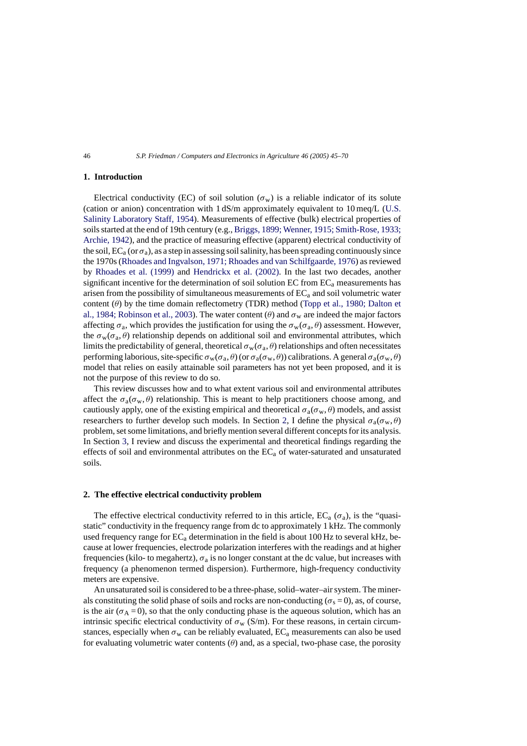## **1. Introduction**

Electrical conductivity (EC) of soil solution ( $\sigma_w$ ) is a reliable indicator of its solute (cation or anion) concentration with 1 dS/m approximately equivalent to 10 meq/L [\(U.S.](#page-25-0) [Salinity Laboratory Staff, 1954\).](#page-25-0) Measurements of effective (bulk) electrical properties of soils started at the end of 19th century (e.g., [Briggs, 1899; Wenner, 1915; Smith-Rose, 1933;](#page-22-0) [Archie, 1942\),](#page-22-0) and the practice of measuring effective (apparent) electrical conductivity of the soil,  $EC_a$  (or  $\sigma_a$ ), as a step in assessing soil salinity, has been spreading continuously since the 1970s [\(Rhoades and Ingvalson, 1971; Rhoades and van Schilfgaarde, 1976\) as](#page-24-0) reviewed by [Rhoades et al. \(1999\)](#page-24-0) and [Hendrickx et al. \(2002\).](#page-23-0) In the last two decades, another significant incentive for the determination of soil solution EC from  $EC<sub>a</sub>$  measurements has arisen from the possibility of simultaneous measurements of  $EC<sub>a</sub>$  and soil volumetric water content  $(\theta)$  by the time domain reflectometry (TDR) method [\(Topp et al., 1980; Dalton et](#page-25-0) [al., 1984; Robinson et al., 2003\).](#page-25-0) The water content ( $\theta$ ) and  $\sigma_w$  are indeed the major factors affecting  $\sigma_a$ , which provides the justification for using the  $\sigma_w(\sigma_a, \theta)$  assessment. However, the  $\sigma_w(\sigma_a, \theta)$  relationship depends on additional soil and environmental attributes, which limits the predictability of general, theoretical  $\sigma_w(\sigma_a, \theta)$  relationships and often necessitates performing laborious, site-specific  $\sigma_w(\sigma_a, \theta)$  (or  $\sigma_a(\sigma_w, \theta)$ ) calibrations. A general  $\sigma_a(\sigma_w, \theta)$ model that relies on easily attainable soil parameters has not yet been proposed, and it is not the purpose of this review to do so.

This review discusses how and to what extent various soil and environmental attributes affect the  $\sigma_a(\sigma_w, \theta)$  relationship. This is meant to help practitioners choose among, and cautiously apply, one of the existing empirical and theoretical  $\sigma_a(\sigma_w, \theta)$  models, and assist researchers to further develop such models. In Section 2, I define the physical  $\sigma_a(\sigma_w, \theta)$ problem, set some limitations, and briefly mention several different concepts for its analysis. In Section [3,](#page-3-0) I review and discuss the experimental and theoretical findings regarding the effects of soil and environmental attributes on the  $EC<sub>a</sub>$  of water-saturated and unsaturated soils.

#### **2. The effective electrical conductivity problem**

The effective electrical conductivity referred to in this article,  $EC_a(\sigma_a)$ , is the "quasistatic" conductivity in the frequency range from dc to approximately 1 kHz. The commonly used frequency range for  $EC_a$  determination in the field is about 100 Hz to several kHz, because at lower frequencies, electrode polarization interferes with the readings and at higher frequencies (kilo- to megahertz),  $\sigma_a$  is no longer constant at the dc value, but increases with frequency (a phenomenon termed dispersion). Furthermore, high-frequency conductivity meters are expensive.

An unsaturated soil is considered to be a three-phase, solid–water–air system. The minerals constituting the solid phase of soils and rocks are non-conducting ( $\sigma_s = 0$ ), as, of course, is the air ( $\sigma_A = 0$ ), so that the only conducting phase is the aqueous solution, which has an intrinsic specific electrical conductivity of  $\sigma_w$  (S/m). For these reasons, in certain circumstances, especially when  $\sigma_w$  can be reliably evaluated,  $EC_a$  measurements can also be used for evaluating volumetric water contents  $(\theta)$  and, as a special, two-phase case, the porosity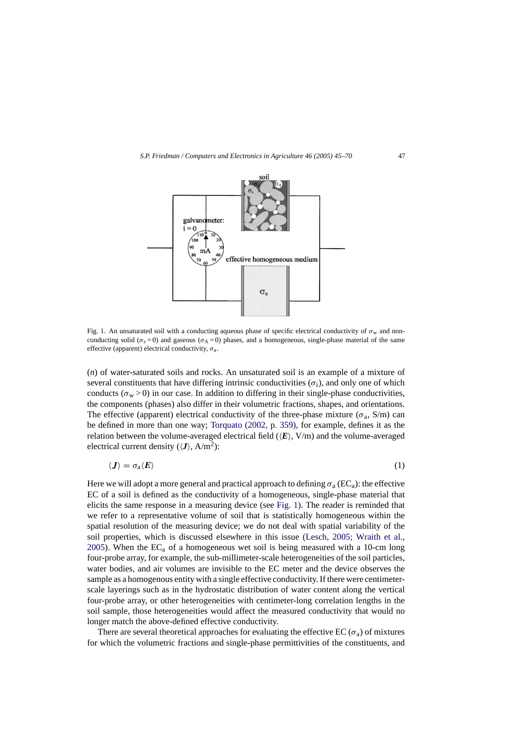

Fig. 1. An unsaturated soil with a conducting aqueous phase of specific electrical conductivity of  $\sigma_w$  and nonconducting solid ( $\sigma_s = 0$ ) and gaseous ( $\sigma_A = 0$ ) phases, and a homogeneous, single-phase material of the same effective (apparent) electrical conductivity,  $\sigma_a$ .

(*n*) of water-saturated soils and rocks. An unsaturated soil is an example of a mixture of several constituents that have differing intrinsic conductivities ( $\sigma_i$ ), and only one of which conducts ( $\sigma_w > 0$ ) in our case. In addition to differing in their single-phase conductivities, the components (phases) also differ in their volumetric fractions, shapes, and orientations. The effective (apparent) electrical conductivity of the three-phase mixture ( $\sigma_a$ , S/m) can be defined in more than one way; [Torquato \(2002, p. 359\),](#page-25-0) for example, defines it as the relation between the volume-averaged electrical field  $(\langle E \rangle, V/m)$  and the volume-averaged electrical current density  $(\langle J \rangle, A/m^2)$ :

$$
\langle J \rangle = \sigma_{\rm a} \langle E \rangle \tag{1}
$$

Here we will adopt a more general and practical approach to defining  $\sigma_a$  (EC<sub>a</sub>): the effective EC of a soil is defined as the conductivity of a homogeneous, single-phase material that elicits the same response in a measuring device (see Fig. 1). The reader is reminded that we refer to a representative volume of soil that is statistically homogeneous within the spatial resolution of the measuring device; we do not deal with spatial variability of the soil properties, which is discussed elsewhere in this issue [\(Lesch, 2005; Wraith et al.,](#page-23-0) [2005\).](#page-23-0) When the  $EC<sub>a</sub>$  of a homogeneous wet soil is being measured with a 10-cm long four-probe array, for example, the sub-millimeter-scale heterogeneities of the soil particles, water bodies, and air volumes are invisible to the EC meter and the device observes the sample as a homogenous entity with a single effective conductivity. If there were centimeterscale layerings such as in the hydrostatic distribution of water content along the vertical four-probe array, or other heterogeneities with centimeter-long correlation lengths in the soil sample, those heterogeneities would affect the measured conductivity that would no longer match the above-defined effective conductivity.

There are several theoretical approaches for evaluating the effective EC ( $\sigma_a$ ) of mixtures for which the volumetric fractions and single-phase permittivities of the constituents, and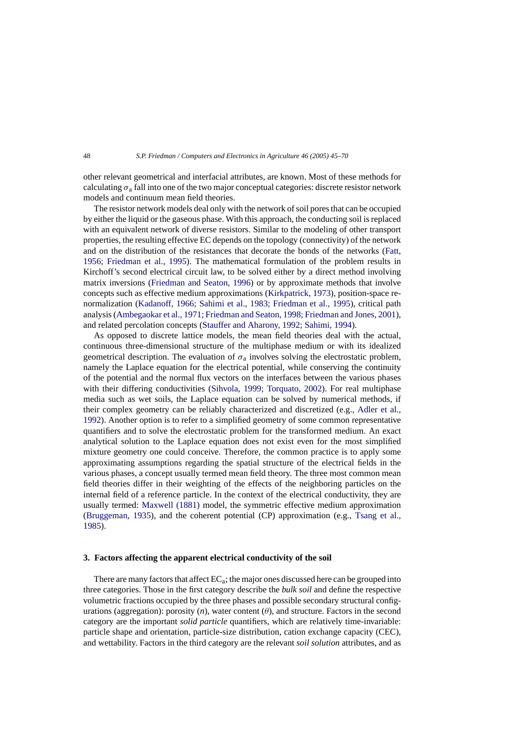<span id="page-3-0"></span>other relevant geometrical and interfacial attributes, are known. Most of these methods for calculating  $\sigma_a$  fall into one of the two major conceptual categories: discrete resistor network models and continuum mean field theories.

The resistor network models deal only with the network of soil pores that can be occupied by either the liquid or the gaseous phase. With this approach, the conducting soil is replaced with an equivalent network of diverse resistors. Similar to the modeling of other transport properties, the resulting effective EC depends on the topology (connectivity) of the network and on the distribution of the resistances that decorate the bonds of the networks ([Fatt,](#page-22-0) [1956; Friedman et al., 1995](#page-22-0)). The mathematical formulation of the problem results in Kirchoff's second electrical circuit law, to be solved either by a direct method involving matrix inversions ([Friedman and Seaton, 1996\)](#page-23-0) or by approximate methods that involve concepts such as effective medium approximations ([Kirkpatrick, 1973\),](#page-23-0) position-space renormalization [\(Kadanoff, 1966; Sahimi et al., 1983; Friedman et al., 1995](#page-23-0)), critical path analysis [\(Ambegaokar et al., 1971; Friedman and Seaton, 1998; Friedman and Jones, 2001\),](#page-22-0) and related percolation concepts ([Stauffer and Aharony, 1992; Sahimi, 1994\).](#page-25-0)

As opposed to discrete lattice models, the mean field theories deal with the actual, continuous three-dimensional structure of the multiphase medium or with its idealized geometrical description. The evaluation of  $\sigma_a$  involves solving the electrostatic problem, namely the Laplace equation for the electrical potential, while conserving the continuity of the potential and the normal flux vectors on the interfaces between the various phases with their differing conductivities ([Sihvola, 1999; Torquato, 2002\)](#page-24-0). For real multiphase media such as wet soils, the Laplace equation can be solved by numerical methods, if their complex geometry can be reliably characterized and discretized (e.g., [Adler et al.,](#page-22-0) [1992\).](#page-22-0) Another option is to refer to a simplified geometry of some common representative quantifiers and to solve the electrostatic problem for the transformed medium. An exact analytical solution to the Laplace equation does not exist even for the most simplified mixture geometry one could conceive. Therefore, the common practice is to apply some approximating assumptions regarding the spatial structure of the electrical fields in the various phases, a concept usually termed mean field theory. The three most common mean field theories differ in their weighting of the effects of the neighboring particles on the internal field of a reference particle. In the context of the electrical conductivity, they are usually termed: [Maxwell \(1881\)](#page-23-0) model, the symmetric effective medium approximation [\(Bruggeman, 1935\),](#page-22-0) and the coherent potential (CP) approximation (e.g., [Tsang et al.,](#page-25-0) [1985\).](#page-25-0)

## **3. Factors affecting the apparent electrical conductivity of the soil**

There are many factors that affect  $EC<sub>a</sub>$ ; the major ones discussed here can be grouped into three categories. Those in the first category describe the *bulk soil* and define the respective volumetric fractions occupied by the three phases and possible secondary structural configurations (aggregation): porosity  $(n)$ , water content  $(\theta)$ , and structure. Factors in the second category are the important *solid particle* quantifiers, which are relatively time-invariable: particle shape and orientation, particle-size distribution, cation exchange capacity (CEC), and wettability. Factors in the third category are the relevant *soil solution* attributes, and as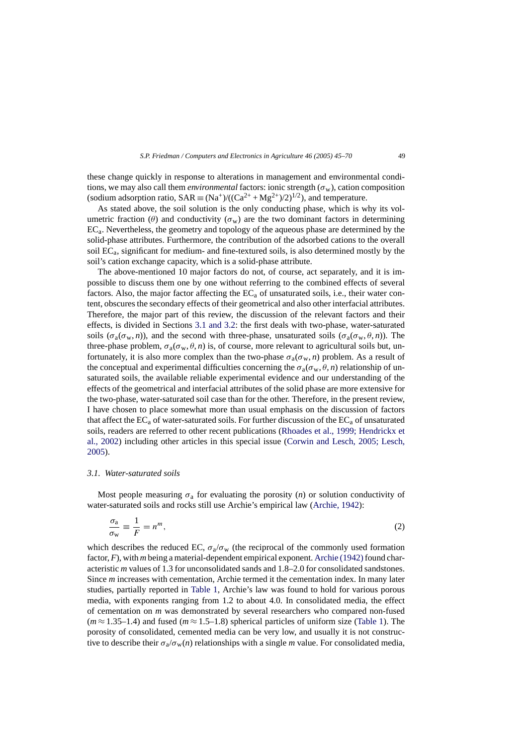<span id="page-4-0"></span>these change quickly in response to alterations in management and environmental conditions, we may also call them *environmental* factors: ionic strength  $(\sigma_w)$ , cation composition (sodium adsorption ratio,  $SAR \equiv (Na^+)/((Ca^{2+}+Mg^{2+})/2)^{1/2})$ , and temperature.

As stated above, the soil solution is the only conducting phase, which is why its volumetric fraction (θ) and conductivity ( $\sigma_w$ ) are the two dominant factors in determining  $EC<sub>a</sub>$ . Nevertheless, the geometry and topology of the aqueous phase are determined by the solid-phase attributes. Furthermore, the contribution of the adsorbed cations to the overall soil  $EC<sub>a</sub>$ , significant for medium- and fine-textured soils, is also determined mostly by the soil's cation exchange capacity, which is a solid-phase attribute.

The above-mentioned 10 major factors do not, of course, act separately, and it is impossible to discuss them one by one without referring to the combined effects of several factors. Also, the major factor affecting the  $EC_a$  of unsaturated soils, i.e., their water content, obscures the secondary effects of their geometrical and also other interfacial attributes. Therefore, the major part of this review, the discussion of the relevant factors and their effects, is divided in Sections 3.1 and 3.2: the first deals with two-phase, water-saturated soils  $(\sigma_a(\sigma_w, n))$ , and the second with three-phase, unsaturated soils  $(\sigma_a(\sigma_w, \theta, n))$ . The three-phase problem,  $\sigma_a(\sigma_w, \theta, n)$  is, of course, more relevant to agricultural soils but, unfortunately, it is also more complex than the two-phase  $\sigma_a(\sigma_w, n)$  problem. As a result of the conceptual and experimental difficulties concerning the  $\sigma_a(\sigma_w, \theta, n)$  relationship of unsaturated soils, the available reliable experimental evidence and our understanding of the effects of the geometrical and interfacial attributes of the solid phase are more extensive for the two-phase, water-saturated soil case than for the other. Therefore, in the present review, I have chosen to place somewhat more than usual emphasis on the discussion of factors that affect the  $EC_a$  of water-saturated soils. For further discussion of the  $EC_a$  of unsaturated soils, readers are referred to other recent publications ([Rhoades et al., 1999; Hendrickx et](#page-24-0) [al., 2002\)](#page-24-0) including other articles in this special issue [\(Corwin and Lesch, 2005; Lesch,](#page-22-0) [2005\).](#page-22-0)

## *3.1. Water-saturated soils*

Most people measuring  $\sigma_a$  for evaluating the porosity (*n*) or solution conductivity of water-saturated soils and rocks still use Archie's empirical law [\(Archie, 1942\):](#page-22-0)

$$
\frac{\sigma_a}{\sigma_w} \equiv \frac{1}{F} = n^m,\tag{2}
$$

which describes the reduced EC,  $\sigma_a/\sigma_w$  (the reciprocal of the commonly used formation factor,  $F$ ), with  $m$  being a material-dependent empirical exponent. Archie (1942) found characteristic *m* values of 1.3 for unconsolidated sands and 1.8–2.0 for consolidated sandstones. Since *m* increases with cementation, Archie termed it the cementation index. In many later studies, partially reported in [Table 1,](#page-5-0) Archie's law was found to hold for various porous media, with exponents ranging from 1.2 to about 4.0. In consolidated media, the effect of cementation on *m* was demonstrated by several researchers who compared non-fused  $(m \approx 1.35-1.4)$  and fused  $(m \approx 1.5-1.8)$  spherical particles of uniform size [\(Table 1\).](#page-5-0) The porosity of consolidated, cemented media can be very low, and usually it is not constructive to describe their  $\sigma_a/\sigma_w(n)$  relationships with a single *m* value. For consolidated media,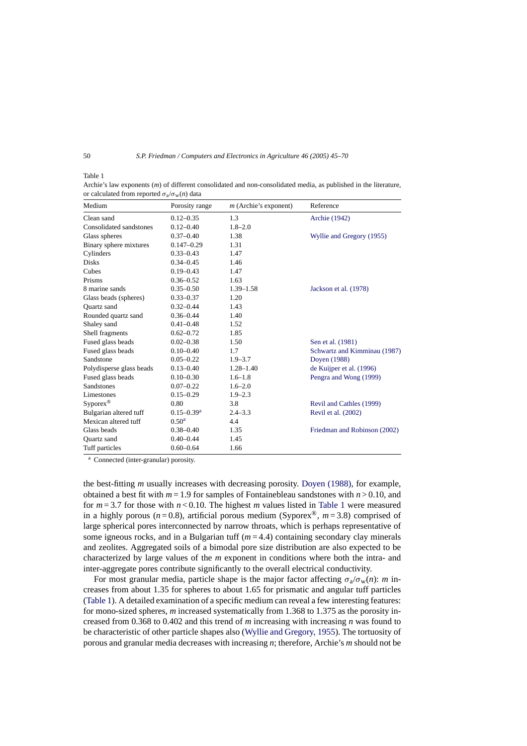<span id="page-5-0"></span>Table 1

Archie's law exponents (*m*) of different consolidated and non-consolidated media, as published in the literature, or calculated from reported  $\sigma_a/\sigma_w(n)$  data

| Medium                   | Porosity range             | $m$ (Archie's exponent) | Reference                    |
|--------------------------|----------------------------|-------------------------|------------------------------|
| Clean sand               | $0.12 - 0.35$              | 1.3                     | Archie (1942)                |
| Consolidated sandstones  | $0.12 - 0.40$              | $1.8 - 2.0$             |                              |
| Glass spheres            | $0.37 - 0.40$              | 1.38                    | Wyllie and Gregory (1955)    |
| Binary sphere mixtures   | $0.147 - 0.29$             | 1.31                    |                              |
| Cylinders                | $0.33 - 0.43$              | 1.47                    |                              |
| <b>Disks</b>             | $0.34 - 0.45$              | 1.46                    |                              |
| Cubes                    | $0.19 - 0.43$              | 1.47                    |                              |
| Prisms                   | $0.36 - 0.52$              | 1.63                    |                              |
| 8 marine sands           | $0.35 - 0.50$              | $1.39 - 1.58$           | Jackson et al. (1978)        |
| Glass beads (spheres)    | $0.33 - 0.37$              | 1.20                    |                              |
| <b>Ouartz</b> sand       | $0.32 - 0.44$              | 1.43                    |                              |
| Rounded quartz sand      | $0.36 - 0.44$              | 1.40                    |                              |
| Shaley sand              | $0.41 - 0.48$              | 1.52                    |                              |
| Shell fragments          | $0.62 - 0.72$              | 1.85                    |                              |
| Fused glass beads        | $0.02 - 0.38$              | 1.50                    | Sen et al. (1981)            |
| Fused glass beads        | $0.10 - 0.40$              | 1.7                     | Schwartz and Kimminau (1987) |
| Sandstone                | $0.05 - 0.22$              | $1.9 - 3.7$             | Doyen (1988)                 |
| Polydisperse glass beads | $0.13 - 0.40$              | $1.28 - 1.40$           | de Kuijper et al. (1996)     |
| Fused glass beads        | $0.10 - 0.30$              | $1.6 - 1.8$             | Pengra and Wong (1999)       |
| <b>Sandstones</b>        | $0.07 - 0.22$              | $1.6 - 2.0$             |                              |
| Limestones               | $0.15 - 0.29$              | $1.9 - 2.3$             |                              |
| $Syporex^{\circledR}$    | 0.80                       | 3.8                     | Revil and Cathles (1999)     |
| Bulgarian altered tuff   | $0.15 - 0.39$ <sup>a</sup> | $2.4 - 3.3$             | Revil et al. (2002)          |
| Mexican altered tuff     | $0.50^{\rm a}$             | 4.4                     |                              |
| Glass beads              | $0.38 - 0.40$              | 1.35                    | Friedman and Robinson (2002) |
| <b>Ouartz</b> sand       | $0.40 - 0.44$              | 1.45                    |                              |
| Tuff particles           | $0.60 - 0.64$              | 1.66                    |                              |

<sup>a</sup> Connected (inter-granular) porosity.

the best-fitting *m* usually increases with decreasing porosity. [Doyen \(1988\),](#page-22-0) for example, obtained a best fit with  $m = 1.9$  for samples of Fontainebleau sandstones with  $n > 0.10$ , and for  $m = 3.7$  for those with  $n < 0.10$ . The highest *m* values listed in Table 1 were measured in a highly porous ( $n = 0.8$ ), artificial porous medium (Syporex<sup>®</sup>,  $m = 3.8$ ) comprised of large spherical pores interconnected by narrow throats, which is perhaps representative of some igneous rocks, and in a Bulgarian tuff  $(m=4.4)$  containing secondary clay minerals and zeolites. Aggregated soils of a bimodal pore size distribution are also expected to be characterized by large values of the *m* exponent in conditions where both the intra- and inter-aggregate pores contribute significantly to the overall electrical conductivity.

For most granular media, particle shape is the major factor affecting  $\sigma_a/\sigma_w(n)$ : *m* increases from about 1.35 for spheres to about 1.65 for prismatic and angular tuff particles (Table 1). A detailed examination of a specific medium can reveal a few interesting features: for mono-sized spheres, *m* increased systematically from 1.368 to 1.375 as the porosity increased from 0.368 to 0.402 and this trend of *m* increasing with increasing *n* was found to be characteristic of other particle shapes also [\(Wyllie and Gregory, 1955\).](#page-25-0) The tortuosity of porous and granular media decreases with increasing *n*; therefore, Archie's *m* should not be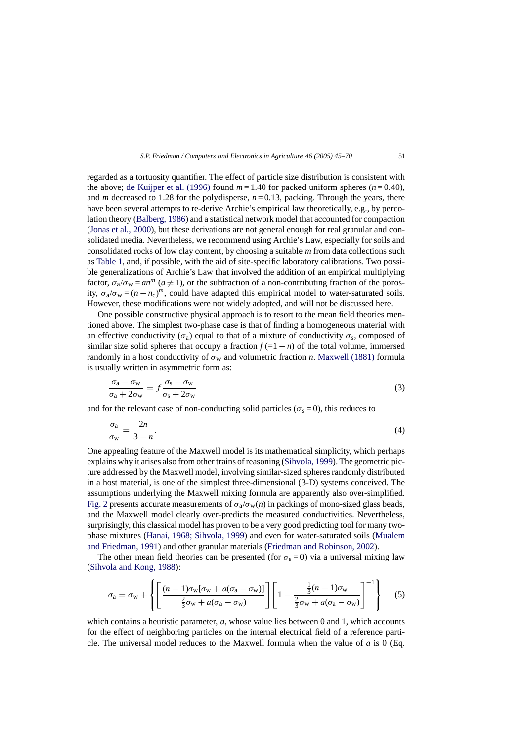<span id="page-6-0"></span>regarded as a tortuosity quantifier. The effect of particle size distribution is consistent with the above; [de Kuijper et al. \(1996\)](#page-22-0) found  $m = 1.40$  for packed uniform spheres  $(n = 0.40)$ , and *m* decreased to 1.28 for the polydisperse,  $n = 0.13$ , packing. Through the years, there have been several attempts to re-derive Archie's empirical law theoretically, e.g., by percolation theory ([Balberg, 1986\) a](#page-22-0)nd a statistical network model that accounted for compaction ([Jonas et al., 2000\),](#page-23-0) but these derivations are not general enough for real granular and consolidated media. Nevertheless, we recommend using Archie's Law, especially for soils and consolidated rocks of low clay content, by choosing a suitable *m* from data collections such as [Table 1, a](#page-5-0)nd, if possible, with the aid of site-specific laboratory calibrations. Two possible generalizations of Archie's Law that involved the addition of an empirical multiplying factor,  $\sigma_a/\sigma_w = an^m$  ( $a \ne 1$ ), or the subtraction of a non-contributing fraction of the porosity,  $\sigma_a/\sigma_w = (n - n_c)^m$ , could have adapted this empirical model to water-saturated soils. However, these modifications were not widely adopted, and will not be discussed here.

One possible constructive physical approach is to resort to the mean field theories mentioned above. The simplest two-phase case is that of finding a homogeneous material with an effective conductivity ( $\sigma_a$ ) equal to that of a mixture of conductivity  $\sigma_s$ , composed of similar size solid spheres that occupy a fraction  $f(1 - n)$  of the total volume, immersed randomly in a host conductivity of  $\sigma_w$  and volumetric fraction *n*. [Maxwell \(1881\)](#page-23-0) formula is usually written in asymmetric form as:

$$
\frac{\sigma_{\rm a} - \sigma_{\rm w}}{\sigma_{\rm a} + 2\sigma_{\rm w}} = f \frac{\sigma_{\rm s} - \sigma_{\rm w}}{\sigma_{\rm s} + 2\sigma_{\rm w}} \tag{3}
$$

and for the relevant case of non-conducting solid particles ( $\sigma_s = 0$ ), this reduces to

$$
\frac{\sigma_{\rm a}}{\sigma_{\rm w}} = \frac{2n}{3-n}.\tag{4}
$$

One appealing feature of the Maxwell model is its mathematical simplicity, which perhaps explains why it arises also from other trains of reasoning [\(Sihvola, 1999\).](#page-24-0) The geometric picture addressed by the Maxwell model, involving similar-sized spheres randomly distributed in a host material, is one of the simplest three-dimensional (3-D) systems conceived. The assumptions underlying the Maxwell mixing formula are apparently also over-simplified. [Fig. 2](#page-7-0) presents accurate measurements of  $\sigma_a/\sigma_w(n)$  in packings of mono-sized glass beads, and the Maxwell model clearly over-predicts the measured conductivities. Nevertheless, surprisingly, this classical model has proven to be a very good predicting tool for many twophase mixtures [\(Hanai, 1968; Sihvola, 1999\)](#page-23-0) and even for water-saturated soils ([Mualem](#page-23-0) [and Friedman, 1991\)](#page-23-0) and other granular materials [\(Friedman and Robinson, 2002\).](#page-23-0)

The other mean field theories can be presented (for  $\sigma_s = 0$ ) via a universal mixing law ([Sihvola and Kong, 1988\):](#page-24-0)

$$
\sigma_{\rm a} = \sigma_{\rm w} + \left\{ \left[ \frac{(n-1)\sigma_{\rm w}[\sigma_{\rm w} + a(\sigma_{\rm a} - \sigma_{\rm w})]}{\frac{2}{3}\sigma_{\rm w} + a(\sigma_{\rm a} - \sigma_{\rm w})} \right] \left[ 1 - \frac{\frac{1}{3}(n-1)\sigma_{\rm w}}{\frac{2}{3}\sigma_{\rm w} + a(\sigma_{\rm a} - \sigma_{\rm w})} \right]^{-1} \right\} \tag{5}
$$

which contains a heuristic parameter, *a*, whose value lies between 0 and 1, which accounts for the effect of neighboring particles on the internal electrical field of a reference particle. The universal model reduces to the Maxwell formula when the value of *a* is 0 (Eq.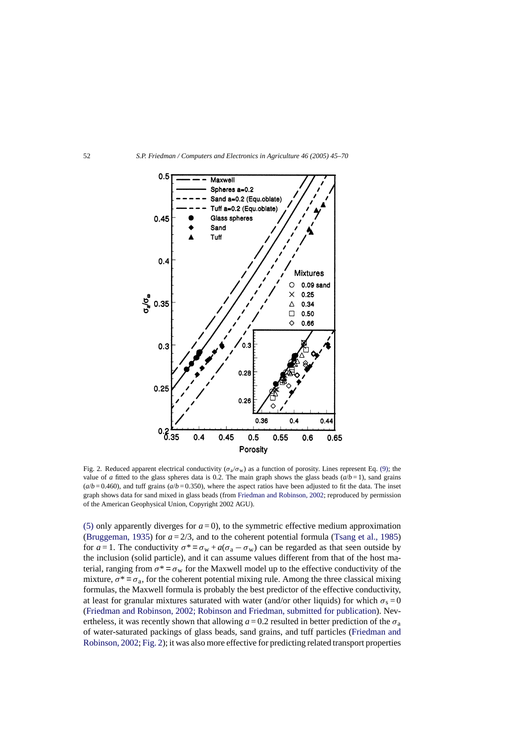<span id="page-7-0"></span>

Fig. 2. Reduced apparent electrical conductivity ( $\sigma_a/\sigma_w$ ) as a function of porosity. Lines represent Eq. [\(9\);](#page-9-0) the value of *a* fitted to the glass spheres data is 0.2. The main graph shows the glass beads  $(a/b = 1)$ , sand grains  $(a/b = 0.460)$ , and tuff grains  $(a/b = 0.350)$ , where the aspect ratios have been adjusted to fit the data. The inset graph shows data for sand mixed in glass beads (from [Friedman and Robinson, 2002; r](#page-23-0)eproduced by permission of the American Geophysical Union, Copyright 2002 AGU).

[\(5\)](#page-6-0) only apparently diverges for  $a = 0$ ), to the symmetric effective medium approximation [\(Bruggeman, 1935\)](#page-22-0) for  $a = 2/3$ , and to the coherent potential formula [\(Tsang et al., 1985\)](#page-25-0) for  $a = 1$ . The conductivity  $\sigma^* = \sigma_w + a(\sigma_a - \sigma_w)$  can be regarded as that seen outside by the inclusion (solid particle), and it can assume values different from that of the host material, ranging from  $\sigma^* = \sigma_w$  for the Maxwell model up to the effective conductivity of the mixture,  $\sigma^* = \sigma_a$ , for the coherent potential mixing rule. Among the three classical mixing formulas, the Maxwell formula is probably the best predictor of the effective conductivity, at least for granular mixtures saturated with water (and/or other liquids) for which  $\sigma_s = 0$ [\(Friedman and Robinson, 2002; Robinson and Friedman, submitted for publication\).](#page-23-0) Nevertheless, it was recently shown that allowing  $a = 0.2$  resulted in better prediction of the  $\sigma_a$ of water-saturated packings of glass beads, sand grains, and tuff particles [\(Friedman and](#page-23-0) [Robinson, 2002;](#page-23-0) Fig. 2); it was also more effective for predicting related transport properties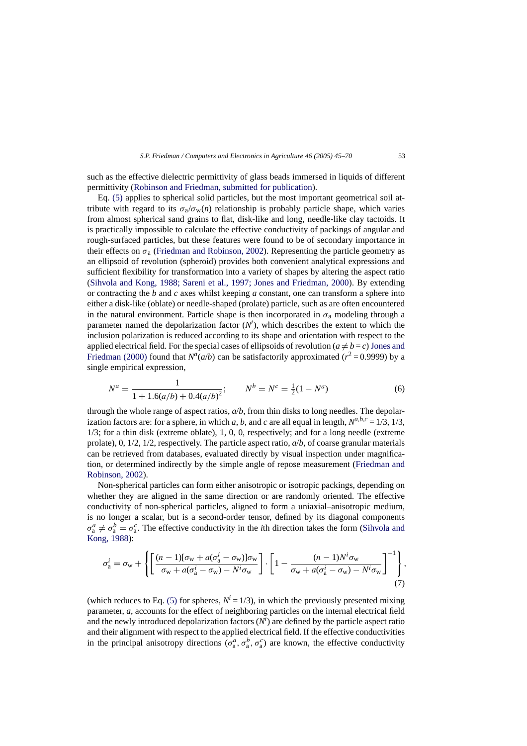<span id="page-8-0"></span>such as the effective dielectric permittivity of glass beads immersed in liquids of different permittivity [\(Robinson and Friedman, submitted for publication\).](#page-24-0)

Eq. [\(5\)](#page-6-0) applies to spherical solid particles, but the most important geometrical soil attribute with regard to its  $\sigma_a/\sigma_w(n)$  relationship is probably particle shape, which varies from almost spherical sand grains to flat, disk-like and long, needle-like clay tactoids. It is practically impossible to calculate the effective conductivity of packings of angular and rough-surfaced particles, but these features were found to be of secondary importance in their effects on  $\sigma_a$  ([Friedman and Robinson, 2002\).](#page-23-0) Representing the particle geometry as an ellipsoid of revolution (spheroid) provides both convenient analytical expressions and sufficient flexibility for transformation into a variety of shapes by altering the aspect ratio ([Sihvola and Kong, 1988; Sareni et al., 1997; Jones and Friedman, 2000](#page-24-0)). By extending or contracting the *b* and *c* axes whilst keeping *a* constant, one can transform a sphere into either a disk-like (oblate) or needle-shaped (prolate) particle, such as are often encountered in the natural environment. Particle shape is then incorporated in  $\sigma_a$  modeling through a parameter named the depolarization factor  $(N<sup>i</sup>)$ , which describes the extent to which the inclusion polarization is reduced according to its shape and orientation with respect to the applied electrical field. For the special cases of ellipsoids of revolution ( $a \neq b = c$ ) [Jones and](#page-23-0) [Friedman \(2000\)](#page-23-0) found that  $N^a(a/b)$  can be satisfactorily approximated ( $r^2 = 0.9999$ ) by a single empirical expression,

$$
N^{a} = \frac{1}{1 + 1.6(a/b) + 0.4(a/b)^{2}}; \qquad N^{b} = N^{c} = \frac{1}{2}(1 - N^{a})
$$
 (6)

through the whole range of aspect ratios, *a*/*b*, from thin disks to long needles. The depolarization factors are: for a sphere, in which *a*, *b*, and *c* are all equal in length,  $N^{a,b,c} = 1/3$ ,  $1/3$ , 1/3; for a thin disk (extreme oblate), 1, 0, 0, respectively; and for a long needle (extreme prolate), 0, 1/2, 1/2, respectively. The particle aspect ratio, *a*/*b*, of coarse granular materials can be retrieved from databases, evaluated directly by visual inspection under magnification, or determined indirectly by the simple angle of repose measurement ([Friedman and](#page-23-0) [Robinson, 2002\).](#page-23-0)

Non-spherical particles can form either anisotropic or isotropic packings, depending on whether they are aligned in the same direction or are randomly oriented. The effective conductivity of non-spherical particles, aligned to form a uniaxial–anisotropic medium, is no longer a scalar, but is a second-order tensor, defined by its diagonal components  $\sigma_a^a \neq \sigma_a^b = \sigma_a^c$ . The effective conductivity in the *i*th direction takes the form ([Sihvola and](#page-24-0) [Kong, 1988\):](#page-24-0)

$$
\sigma_{\mathbf{a}}^i = \sigma_{\mathbf{w}} + \left\{ \left[ \frac{(n-1)[\sigma_{\mathbf{w}} + a(\sigma_{\mathbf{a}}^i - \sigma_{\mathbf{w}})]\sigma_{\mathbf{w}}}{\sigma_{\mathbf{w}} + a(\sigma_{\mathbf{a}}^i - \sigma_{\mathbf{w}}) - N^i \sigma_{\mathbf{w}}} \right] \cdot \left[ 1 - \frac{(n-1)N^i \sigma_{\mathbf{w}}}{\sigma_{\mathbf{w}} + a(\sigma_{\mathbf{a}}^i - \sigma_{\mathbf{w}}) - N^i \sigma_{\mathbf{w}}} \right]^{-1} \right\},\tag{7}
$$

(which reduces to Eq. [\(5\)](#page-6-0) for spheres,  $N^i = 1/3$ ), in which the previously presented mixing parameter, *a*, accounts for the effect of neighboring particles on the internal electrical field and the newly introduced depolarization factors  $(N<sup>i</sup>)$  are defined by the particle aspect ratio and their alignment with respect to the applied electrical field. If the effective conductivities in the principal anisotropy directions  $(\sigma_a^a, \sigma_a^b, \sigma_a^c)$  are known, the effective conductivity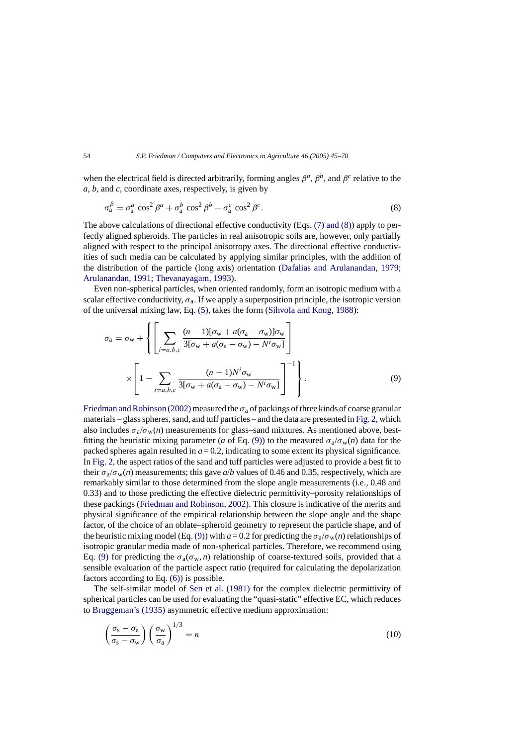<span id="page-9-0"></span>when the electrical field is directed arbitrarily, forming angles  $\beta^a$ ,  $\beta^b$ , and  $\beta^c$  relative to the *a*, *b*, and *c*, coordinate axes, respectively, is given by

$$
\sigma_{\rm a}^{\beta} = \sigma_{\rm a}^{a} \cos^{2} \beta^{a} + \sigma_{\rm a}^{b} \cos^{2} \beta^{b} + \sigma_{\rm a}^{c} \cos^{2} \beta^{c}.
$$
 (8)

The above calculations of directional effective conductivity (Eqs. [\(7\) and \(8\)\)](#page-8-0) apply to perfectly aligned spheroids. The particles in real anisotropic soils are, however, only partially aligned with respect to the principal anisotropy axes. The directional effective conductivities of such media can be calculated by applying similar principles, with the addition of the distribution of the particle (long axis) orientation ([Dafalias and Arulanandan, 1979;](#page-22-0) [Arulanandan, 1991; Thevanayagam, 1993\).](#page-22-0)

Even non-spherical particles, when oriented randomly, form an isotropic medium with a scalar effective conductivity,  $\sigma_a$ . If we apply a superposition principle, the isotropic version of the universal mixing law, Eq. [\(5\),](#page-6-0) takes the form ([Sihvola and Kong, 1988\):](#page-24-0)

$$
\sigma_{\rm a} = \sigma_{\rm w} + \left\{ \left[ \sum_{i=a,b,c} \frac{(n-1)[\sigma_{\rm w} + a(\sigma_{\rm a} - \sigma_{\rm w})] \sigma_{\rm w}}{3[\sigma_{\rm w} + a(\sigma_{\rm a} - \sigma_{\rm w}) - N^i \sigma_{\rm w}]} \right] \times \left[ 1 - \sum_{i=a,b,c} \frac{(n-1)N^i \sigma_{\rm w}}{3[\sigma_{\rm w} + a(\sigma_{\rm a} - \sigma_{\rm w}) - N^i \sigma_{\rm w}]} \right]^{-1} \right\}.
$$
\n(9)

Friedman and Robinson (2002) measured the  $\sigma_a$  of packings of three kinds of coarse granular materials – glass spheres, sand, and tuff particles – and the data are presented in [Fig. 2, w](#page-7-0)hich also includes  $\sigma_a/\sigma_w(n)$  measurements for glass–sand mixtures. As mentioned above, bestfitting the heuristic mixing parameter (*a* of Eq. (9)) to the measured  $\sigma_a/\sigma_w(n)$  data for the packed spheres again resulted in  $a = 0.2$ , indicating to some extent its physical significance. In [Fig. 2, t](#page-7-0)he aspect ratios of the sand and tuff particles were adjusted to provide a best fit to their  $\sigma_a/\sigma_w(n)$  measurements; this gave  $a/b$  values of 0.46 and 0.35, respectively, which are remarkably similar to those determined from the slope angle measurements (i.e., 0.48 and 0.33) and to those predicting the effective dielectric permittivity–porosity relationships of these packings ([Friedman and Robinson, 2002\).](#page-23-0) This closure is indicative of the merits and physical significance of the empirical relationship between the slope angle and the shape factor, of the choice of an oblate–spheroid geometry to represent the particle shape, and of the heuristic mixing model (Eq. (9)) with  $a = 0.2$  for predicting the  $\sigma_a/\sigma_w(n)$  relationships of isotropic granular media made of non-spherical particles. Therefore, we recommend using Eq. (9) for predicting the  $\sigma_a(\sigma_w, n)$  relationship of coarse-textured soils, provided that a sensible evaluation of the particle aspect ratio (required for calculating the depolarization factors according to Eq. [\(6\)\)](#page-8-0) is possible.

The self-similar model of [Sen et al. \(1981\)](#page-24-0) for the complex dielectric permittivity of spherical particles can be used for evaluating the "quasi-static" effective EC, which reduces to [Bruggeman's \(1935\)](#page-22-0) asymmetric effective medium approximation:

$$
\left(\frac{\sigma_{\rm s} - \sigma_{\rm a}}{\sigma_{\rm s} - \sigma_{\rm w}}\right) \left(\frac{\sigma_{\rm w}}{\sigma_{\rm a}}\right)^{1/3} = n \tag{10}
$$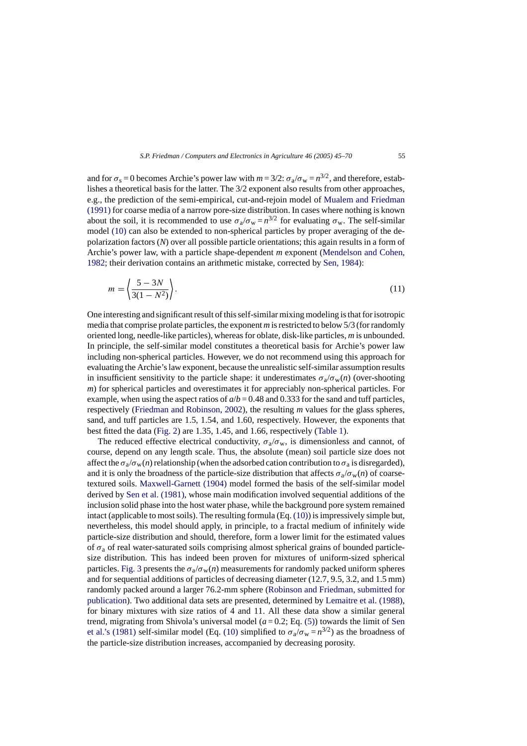and for  $\sigma_s = 0$  becomes Archie's power law with  $m = 3/2$ :  $\sigma_a/\sigma_w = n^{3/2}$ , and therefore, establishes a theoretical basis for the latter. The 3/2 exponent also results from other approaches, e.g., the prediction of the semi-empirical, cut-and-rejoin model of [Mualem and Friedman](#page-23-0) [\(1991\)](#page-23-0) for coarse media of a narrow pore-size distribution. In cases where nothing is known about the soil, it is recommended to use  $\sigma_a/\sigma_w = n^{3/2}$  for evaluating  $\sigma_w$ . The self-similar model [\(10\)](#page-9-0) can also be extended to non-spherical particles by proper averaging of the depolarization factors (*N*) over all possible particle orientations; this again results in a form of Archie's power law, with a particle shape-dependent *m* exponent [\(Mendelson and Cohen,](#page-23-0) [1982;](#page-23-0) their derivation contains an arithmetic mistake, corrected by [Sen, 1984\):](#page-24-0)

$$
m = \left\langle \frac{5 - 3N}{3(1 - N^2)} \right\rangle. \tag{11}
$$

One interesting and significant result of this self-similar mixing modeling is that for isotropic media that comprise prolate particles, the exponent *m* is restricted to below 5/3 (for randomly oriented long, needle-like particles), whereas for oblate, disk-like particles, *m* is unbounded. In principle, the self-similar model constitutes a theoretical basis for Archie's power law including non-spherical particles. However, we do not recommend using this approach for evaluating the Archie's law exponent, because the unrealistic self-similar assumption results in insufficient sensitivity to the particle shape: it underestimates  $\sigma_a/\sigma_w(n)$  (over-shooting *m*) for spherical particles and overestimates it for appreciably non-spherical particles. For example, when using the aspect ratios of  $a/b = 0.48$  and 0.333 for the sand and tuff particles, respectively [\(Friedman and Robinson, 2002\),](#page-23-0) the resulting *m* values for the glass spheres, sand, and tuff particles are 1.5, 1.54, and 1.60, respectively. However, the exponents that best fitted the data [\(Fig. 2\)](#page-7-0) are 1.35, 1.45, and 1.66, respectively [\(Table 1\).](#page-5-0)

The reduced effective electrical conductivity,  $\sigma_a/\sigma_w$ , is dimensionless and cannot, of course, depend on any length scale. Thus, the absolute (mean) soil particle size does not affect the  $\sigma_a/\sigma_w(n)$  relationship (when the adsorbed cation contribution to  $\sigma_a$  is disregarded), and it is only the broadness of the particle-size distribution that affects  $\sigma_a/\sigma_w(n)$  of coarsetextured soils. [Maxwell-Garnett \(1904\)](#page-23-0) model formed the basis of the self-similar model derived by [Sen et al. \(1981\), w](#page-24-0)hose main modification involved sequential additions of the inclusion solid phase into the host water phase, while the background pore system remained intact (applicable to most soils). The resulting formula (Eq. [\(10\)\) i](#page-9-0)s impressively simple but, nevertheless, this model should apply, in principle, to a fractal medium of infinitely wide particle-size distribution and should, therefore, form a lower limit for the estimated values of  $\sigma_a$  of real water-saturated soils comprising almost spherical grains of bounded particlesize distribution. This has indeed been proven for mixtures of uniform-sized spherical particles. [Fig. 3](#page-11-0) presents the  $\sigma_a/\sigma_w(n)$  measurements for randomly packed uniform spheres and for sequential additions of particles of decreasing diameter (12.7, 9.5, 3.2, and 1.5 mm) randomly packed around a larger 76.2-mm sphere ([Robinson and Friedman, submitted for](#page-24-0) [publication\).](#page-24-0) Two additional data sets are presented, determined by [Lemaitre et al. \(1988\),](#page-23-0) for binary mixtures with size ratios of 4 and 11. All these data show a similar general trend, migrating from Shivola's universal model  $(a=0.2; Eq. (5))$  $(a=0.2; Eq. (5))$  towards the limit of [Sen](#page-24-0) [et al.'s \(1981\)](#page-24-0) self-similar model (Eq. [\(10\)](#page-9-0) simplified to  $\sigma_a/\sigma_w = n^{3/2}$ ) as the broadness of the particle-size distribution increases, accompanied by decreasing porosity.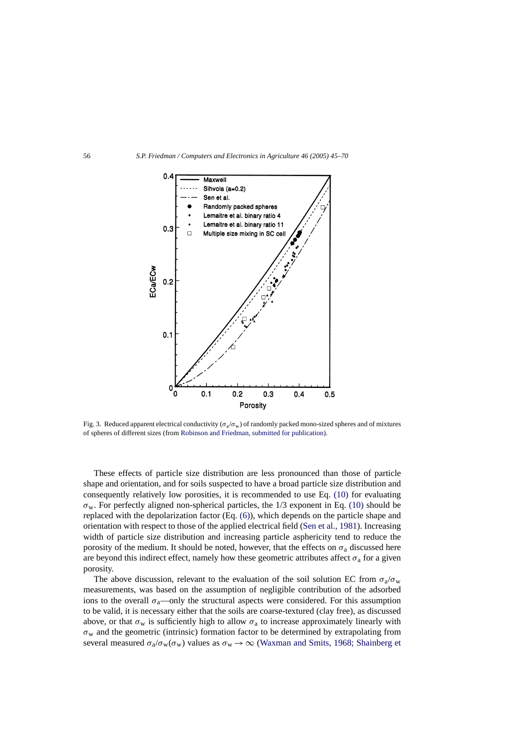<span id="page-11-0"></span>

Fig. 3. Reduced apparent electrical conductivity ( $\sigma_a/\sigma_w$ ) of randomly packed mono-sized spheres and of mixtures of spheres of different sizes (from [Robinson and Friedman, submitted for publication\).](#page-24-0)

These effects of particle size distribution are less pronounced than those of particle shape and orientation, and for soils suspected to have a broad particle size distribution and consequently relatively low porosities, it is recommended to use Eq. [\(10\)](#page-9-0) for evaluating  $\sigma_w$ . For perfectly aligned non-spherical particles, the 1/3 exponent in Eq. [\(10\)](#page-9-0) should be replaced with the depolarization factor (Eq. [\(6\)\),](#page-8-0) which depends on the particle shape and orientation with respect to those of the applied electrical field [\(Sen et al., 1981\).](#page-24-0) Increasing width of particle size distribution and increasing particle asphericity tend to reduce the porosity of the medium. It should be noted, however, that the effects on  $\sigma_a$  discussed here are beyond this indirect effect, namely how these geometric attributes affect  $\sigma_a$  for a given porosity.

The above discussion, relevant to the evaluation of the soil solution EC from  $\sigma_a/\sigma_w$ measurements, was based on the assumption of negligible contribution of the adsorbed ions to the overall  $\sigma_a$ —only the structural aspects were considered. For this assumption to be valid, it is necessary either that the soils are coarse-textured (clay free), as discussed above, or that  $\sigma_w$  is sufficiently high to allow  $\sigma_a$  to increase approximately linearly with  $\sigma_w$  and the geometric (intrinsic) formation factor to be determined by extrapolating from several measured  $\sigma_a/\sigma_w(\sigma_w)$  values as  $\sigma_w \to \infty$  [\(Waxman and Smits, 1968; Shainberg et](#page-25-0)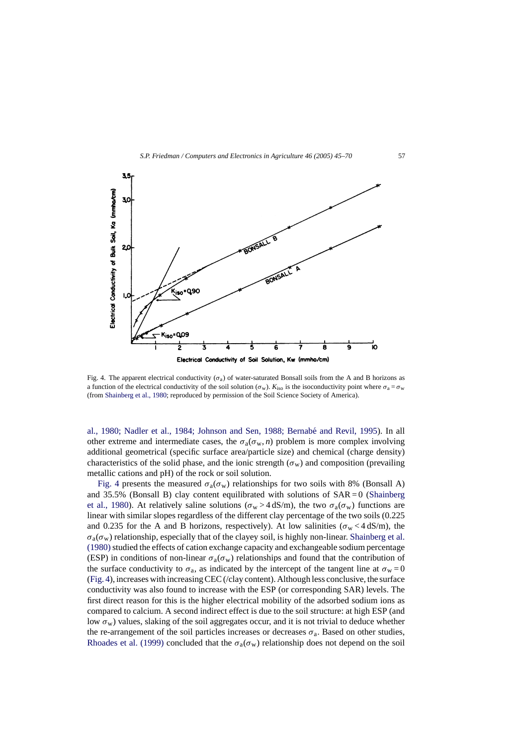<span id="page-12-0"></span>

Fig. 4. The apparent electrical conductivity  $(\sigma_a)$  of water-saturated Bonsall soils from the A and B horizons as a function of the electrical conductivity of the soil solution ( $\sigma_w$ ).  $K_{iso}$  is the isoconductivity point where  $\sigma_a = \sigma_w$ (from [Shainberg et al., 1980; r](#page-24-0)eproduced by permission of the Soil Science Society of America).

al., 1980; Nadler et al., 1984; Johnson and Sen, 1988; Bernabé and Revil, 1995). In all other extreme and intermediate cases, the  $\sigma_a(\sigma_w, n)$  problem is more complex involving additional geometrical (specific surface area/particle size) and chemical (charge density) characteristics of the solid phase, and the ionic strength ( $\sigma_w$ ) and composition (prevailing metallic cations and pH) of the rock or soil solution.

Fig. 4 presents the measured  $\sigma_a(\sigma_w)$  relationships for two soils with 8% (Bonsall A) and  $35.5\%$  (Bonsall B) clay content equilibrated with solutions of  $SAR = 0$  ([Shainberg](#page-24-0) [et al., 1980\)](#page-24-0). At relatively saline solutions ( $\sigma_w > 4$  dS/m), the two  $\sigma_a(\sigma_w)$  functions are linear with similar slopes regardless of the different clay percentage of the two soils (0.225 and 0.235 for the A and B horizons, respectively). At low salinities ( $\sigma_w < 4 \text{ dS/m}$ ), the  $\sigma_a(\sigma_w)$  relationship, especially that of the clayey soil, is highly non-linear. [Shainberg et al.](#page-24-0) (1980) studied the effects of cation exchange capacity and exchangeable sodium percentage (ESP) in conditions of non-linear  $\sigma_a(\sigma_w)$  relationships and found that the contribution of the surface conductivity to  $\sigma_a$ , as indicated by the intercept of the tangent line at  $\sigma_w = 0$ (Fig. 4), increases with increasing CEC (/clay content). Although less conclusive, the surface conductivity was also found to increase with the ESP (or corresponding SAR) levels. The first direct reason for this is the higher electrical mobility of the adsorbed sodium ions as compared to calcium. A second indirect effect is due to the soil structure: at high ESP (and low  $\sigma_w$ ) values, slaking of the soil aggregates occur, and it is not trivial to deduce whether the re-arrangement of the soil particles increases or decreases  $\sigma_a$ . Based on other studies, [Rhoades et al. \(1999\)](#page-24-0) concluded that the  $\sigma_a(\sigma_w)$  relationship does not depend on the soil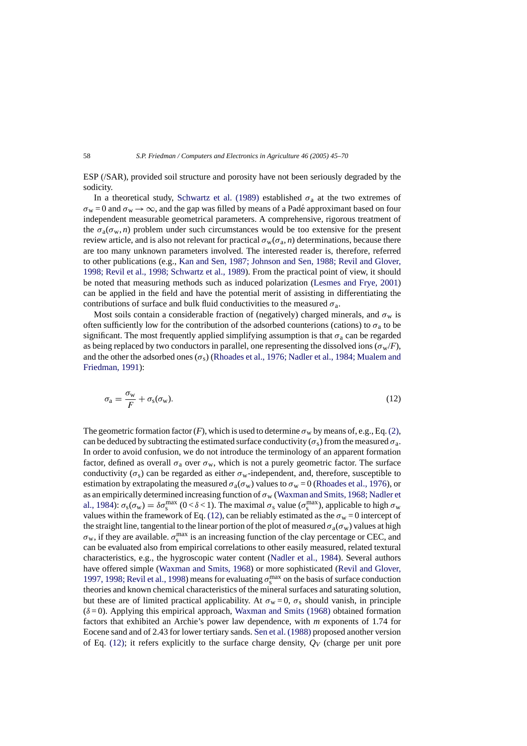<span id="page-13-0"></span>ESP (/SAR), provided soil structure and porosity have not been seriously degraded by the sodicity.

In a theoretical study, [Schwartz et al. \(1989\)](#page-24-0) established  $\sigma_a$  at the two extremes of  $\sigma_w = 0$  and  $\sigma_w \rightarrow \infty$ , and the gap was filled by means of a Padé approximant based on four independent measurable geometrical parameters. A comprehensive, rigorous treatment of the  $\sigma_a(\sigma_w, n)$  problem under such circumstances would be too extensive for the present review article, and is also not relevant for practical  $\sigma_w(\sigma_a, n)$  determinations, because there are too many unknown parameters involved. The interested reader is, therefore, referred to other publications (e.g., [Kan and Sen, 1987; Johnson and Sen, 1988; Revil and Glover,](#page-23-0) [1998; Revil et al., 1998; Schwartz et al., 1989\).](#page-23-0) From the practical point of view, it should be noted that measuring methods such as induced polarization [\(Lesmes and Frye, 2001\)](#page-23-0) can be applied in the field and have the potential merit of assisting in differentiating the contributions of surface and bulk fluid conductivities to the measured  $\sigma_a$ .

Most soils contain a considerable fraction of (negatively) charged minerals, and  $\sigma_w$  is often sufficiently low for the contribution of the adsorbed counterions (cations) to  $\sigma_a$  to be significant. The most frequently applied simplifying assumption is that  $\sigma_a$  can be regarded as being replaced by two conductors in parallel, one representing the dissolved ions ( $\sigma_w/F$ ), and the other the adsorbed ones ( $\sigma_s$ ) [\(Rhoades et al., 1976; Nadler et al., 1984; Mualem and](#page-24-0) [Friedman, 1991\):](#page-24-0)

$$
\sigma_{\rm a} = \frac{\sigma_{\rm w}}{F} + \sigma_{\rm s}(\sigma_{\rm w}).\tag{12}
$$

The geometric formation factor  $(F)$ , which is used to determine  $\sigma_w$  by means of, e.g., Eq. [\(2\),](#page-4-0) can be deduced by subtracting the estimated surface conductivity ( $\sigma_s$ ) from the measured  $\sigma_a$ . In order to avoid confusion, we do not introduce the terminology of an apparent formation factor, defined as overall  $\sigma_a$  over  $\sigma_w$ , which is not a purely geometric factor. The surface conductivity  $(\sigma_s)$  can be regarded as either  $\sigma_w$ -independent, and, therefore, susceptible to estimation by extrapolating the measured  $\sigma_a(\sigma_w)$  values to  $\sigma_w = 0$  ([Rhoades et al., 1976\),](#page-24-0) or as an empirically determined increasing function of  $\sigma_w$  ([Waxman and Smits, 1968; Nadler et](#page-25-0) [al., 1984\):](#page-25-0)  $\sigma_s(\sigma_w) = \delta \sigma_s^{max}$  (0 <  $\delta$  < 1). The maximal  $\sigma_s$  value ( $\sigma_s^{max}$ ), applicable to high  $\sigma_w$ values within the framework of Eq. (12), can be reliably estimated as the  $\sigma_w = 0$  intercept of the straight line, tangential to the linear portion of the plot of measured  $\sigma_a(\sigma_w)$  values at high  $\sigma_w$ , if they are available.  $\sigma_s^{\text{max}}$  is an increasing function of the clay percentage or CEC, and can be evaluated also from empirical correlations to other easily measured, related textural characteristics, e.g., the hygroscopic water content [\(Nadler et al., 1984\)](#page-23-0). Several authors have offered simple ([Waxman and Smits, 1968\)](#page-25-0) or more sophisticated ([Revil and Glover,](#page-24-0) [1997, 1998; Revil et al., 1998\) m](#page-24-0)eans for evaluating  $\sigma_s^{\text{max}}$  on the basis of surface conduction theories and known chemical characteristics of the mineral surfaces and saturating solution, but these are of limited practical applicability. At  $\sigma_w = 0$ ,  $\sigma_s$  should vanish, in principle  $(\delta = 0)$ . Applying this empirical approach, [Waxman and Smits \(1968\)](#page-25-0) obtained formation factors that exhibited an Archie's power law dependence, with *m* exponents of 1.74 for Eocene sand and of 2.43 for lower tertiary sands. [Sen et al. \(1988\)](#page-24-0) proposed another version of Eq. (12); it refers explicitly to the surface charge density,  $Q_V$  (charge per unit pore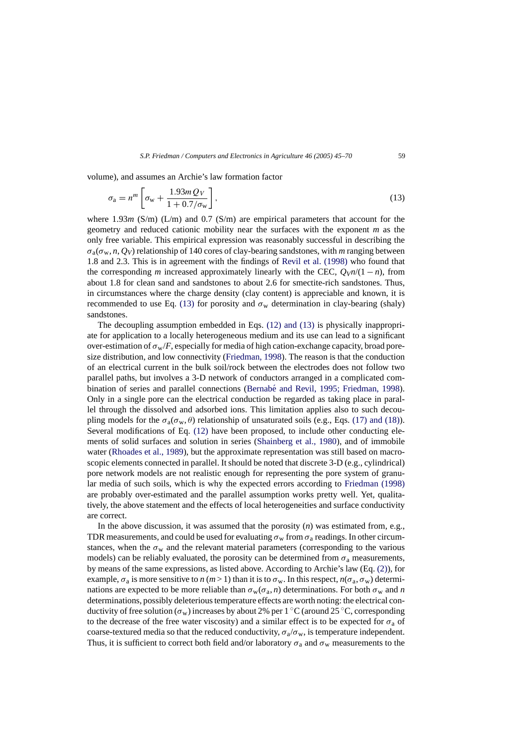volume), and assumes an Archie's law formation factor

$$
\sigma_{\rm a} = n^m \left[ \sigma_{\rm w} + \frac{1.93 m \, Q_V}{1 + 0.7/\sigma_{\rm w}} \right],\tag{13}
$$

where  $1.93m$  (S/m) (L/m) and 0.7 (S/m) are empirical parameters that account for the geometry and reduced cationic mobility near the surfaces with the exponent *m* as the only free variable. This empirical expression was reasonably successful in describing the  $\sigma_a(\sigma_w, n, Q_V)$  relationship of 140 cores of clay-bearing sandstones, with *m* ranging between 1.8 and 2.3. This is in agreement with the findings of [Revil et al. \(1998\)](#page-24-0) who found that the corresponding *m* increased approximately linearly with the CEC,  $Q_V n/(1 - n)$ , from about 1.8 for clean sand and sandstones to about 2.6 for smectite-rich sandstones. Thus, in circumstances where the charge density (clay content) is appreciable and known, it is recommended to use Eq. (13) for porosity and  $\sigma_w$  determination in clay-bearing (shaly) sandstones.

The decoupling assumption embedded in Eqs. [\(12\) and \(13\)](#page-13-0) is physically inappropriate for application to a locally heterogeneous medium and its use can lead to a significant over-estimation of  $\sigma_w/F$ , especially for media of high cation-exchange capacity, broad poresize distribution, and low connectivity [\(Friedman, 1998\).](#page-22-0) The reason is that the conduction of an electrical current in the bulk soil/rock between the electrodes does not follow two parallel paths, but involves a 3-D network of conductors arranged in a complicated combination of series and parallel connections (Bernabé and Revil, 1995; Friedman, 1998). Only in a single pore can the electrical conduction be regarded as taking place in parallel through the dissolved and adsorbed ions. This limitation applies also to such decoupling models for the  $\sigma_a(\sigma_w, \theta)$  relationship of unsaturated soils (e.g., Eqs. [\(17\) and \(18\)\).](#page-18-0) Several modifications of Eq. [\(12\)](#page-13-0) have been proposed, to include other conducting elements of solid surfaces and solution in series [\(Shainberg et al., 1980\)](#page-24-0), and of immobile water [\(Rhoades et al., 1989\),](#page-24-0) but the approximate representation was still based on macroscopic elements connected in parallel. It should be noted that discrete 3-D (e.g., cylindrical) pore network models are not realistic enough for representing the pore system of granular media of such soils, which is why the expected errors according to [Friedman \(1998\)](#page-22-0) are probably over-estimated and the parallel assumption works pretty well. Yet, qualitatively, the above statement and the effects of local heterogeneities and surface conductivity are correct.

In the above discussion, it was assumed that the porosity (*n*) was estimated from, e.g., TDR measurements, and could be used for evaluating  $\sigma_w$  from  $\sigma_a$  readings. In other circumstances, when the  $\sigma_w$  and the relevant material parameters (corresponding to the various models) can be reliably evaluated, the porosity can be determined from  $\sigma_a$  measurements, by means of the same expressions, as listed above. According to Archie's law (Eq. [\(2\)\),](#page-4-0) for example,  $\sigma_a$  is more sensitive to *n* (*m* > 1) than it is to  $\sigma_w$ . In this respect,  $n(\sigma_a, \sigma_w)$  determinations are expected to be more reliable than  $\sigma_w(\sigma_a, n)$  determinations. For both  $\sigma_w$  and *n* determinations, possibly deleterious temperature effects are worth noting: the electrical conductivity of free solution ( $\sigma_w$ ) increases by about 2% per 1 °C (around 25 °C, corresponding to the decrease of the free water viscosity) and a similar effect is to be expected for  $\sigma_a$  of coarse-textured media so that the reduced conductivity,  $\sigma_{\alpha}/\sigma_{w}$ , is temperature independent. Thus, it is sufficient to correct both field and/or laboratory  $\sigma_a$  and  $\sigma_w$  measurements to the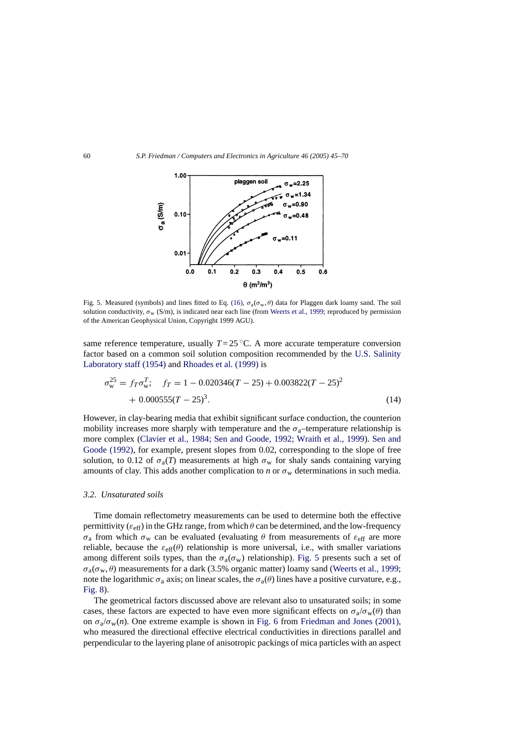<span id="page-15-0"></span>

Fig. 5. Measured (symbols) and lines fitted to Eq. [\(16\),](#page-17-0)  $\sigma_a(\sigma_w, \theta)$  data for Plaggen dark loamy sand. The soil solution conductivity,  $\sigma_w$  (S/m), is indicated near each line (from [Weerts et al., 1999; r](#page-25-0)eproduced by permission of the American Geophysical Union, Copyright 1999 AGU).

same reference temperature, usually  $T = 25 \degree C$ . A more accurate temperature conversion factor based on a common soil solution composition recommended by the [U.S. Salinity](#page-25-0) [Laboratory staff \(1954\)](#page-25-0) and [Rhoades et al. \(1999\)](#page-24-0) is

$$
\sigma_{\rm w}^{25} = f_T \sigma_{\rm w}^T; \quad f_T = 1 - 0.020346(T - 25) + 0.003822(T - 25)^2 + 0.000555(T - 25)^3.
$$
\n(14)

However, in clay-bearing media that exhibit significant surface conduction, the counterion mobility increases more sharply with temperature and the  $\sigma_a$ –temperature relationship is more complex [\(Clavier et al., 1984; Sen and Goode, 1992; Wraith et al., 1999](#page-22-0)). [Sen and](#page-24-0) [Goode \(1992\),](#page-24-0) for example, present slopes from 0.02, corresponding to the slope of free solution, to 0.12 of  $\sigma_a(T)$  measurements at high  $\sigma_w$  for shaly sands containing varying amounts of clay. This adds another complication to *n* or  $\sigma_w$  determinations in such media.

#### *3.2. Unsaturated soils*

Time domain reflectometry measurements can be used to determine both the effective permittivity ( $\varepsilon_{\text{eff}}$ ) in the GHz range, from which  $\theta$  can be determined, and the low-frequency  $\sigma_a$  from which  $\sigma_w$  can be evaluated (evaluating  $\theta$  from measurements of  $\varepsilon_{\text{eff}}$  are more reliable, because the  $\varepsilon_{\text{eff}}(\theta)$  relationship is more universal, i.e., with smaller variations among different soils types, than the  $\sigma_a(\sigma_w)$  relationship). Fig. 5 presents such a set of  $\sigma_a(\sigma_w, \theta)$  measurements for a dark (3.5% organic matter) loamy sand ([Weerts et al., 1999;](#page-25-0) note the logarithmic  $\sigma_a$  axis; on linear scales, the  $\sigma_a(\theta)$  lines have a positive curvature, e.g., [Fig. 8\).](#page-19-0)

The geometrical factors discussed above are relevant also to unsaturated soils; in some cases, these factors are expected to have even more significant effects on  $\sigma_a/\sigma_w(\theta)$  than on  $\sigma_a/\sigma_w(n)$ . One extreme example is shown in [Fig. 6](#page-16-0) from [Friedman and Jones \(2001\),](#page-23-0) who measured the directional effective electrical conductivities in directions parallel and perpendicular to the layering plane of anisotropic packings of mica particles with an aspect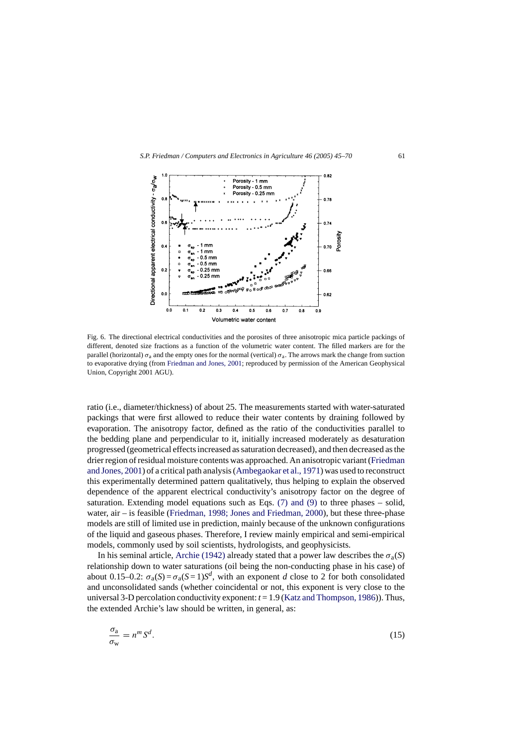<span id="page-16-0"></span>

Fig. 6. The directional electrical conductivities and the porosites of three anisotropic mica particle packings of different, denoted size fractions as a function of the volumetric water content. The filled markers are for the parallel (horizontal)  $\sigma_a$  and the empty ones for the normal (vertical)  $\sigma_a$ . The arrows mark the change from suction to evaporative drying (from [Friedman and Jones, 2001; r](#page-23-0)eproduced by permission of the American Geophysical Union, Copyright 2001 AGU).

ratio (i.e., diameter/thickness) of about 25. The measurements started with water-saturated packings that were first allowed to reduce their water contents by draining followed by evaporation. The anisotropy factor, defined as the ratio of the conductivities parallel to the bedding plane and perpendicular to it, initially increased moderately as desaturation progressed (geometrical effects increased as saturation decreased), and then decreased as the drier region of residual moisture contents was approached. An anisotropic variant ([Friedman](#page-23-0) [and Jones, 2001\) o](#page-23-0)f a critical path analysis [\(Ambegaokar et al., 1971\) w](#page-22-0)as used to reconstruct this experimentally determined pattern qualitatively, thus helping to explain the observed dependence of the apparent electrical conductivity's anisotropy factor on the degree of saturation. Extending model equations such as Eqs. [\(7\) and \(9\)](#page-8-0) to three phases – solid, water, air – is feasible ([Friedman, 1998; Jones and Friedman, 2000\),](#page-22-0) but these three-phase models are still of limited use in prediction, mainly because of the unknown configurations of the liquid and gaseous phases. Therefore, I review mainly empirical and semi-empirical models, commonly used by soil scientists, hydrologists, and geophysicists.

In his seminal article, [Archie \(1942\)](#page-22-0) already stated that a power law describes the  $\sigma_a(S)$ relationship down to water saturations (oil being the non-conducting phase in his case) of about 0.15–0.2:  $\sigma_a(S) = \sigma_a(S=1)S^d$ , with an exponent *d* close to 2 for both consolidated and unconsolidated sands (whether coincidental or not, this exponent is very close to the universal 3-D percolation conductivity exponent: *t* = 1.9 ([Katz and Thompson, 1986\)\).](#page-23-0) Thus, the extended Archie's law should be written, in general, as:

$$
\frac{\sigma_{\rm a}}{\sigma_{\rm w}} = n^m S^d. \tag{15}
$$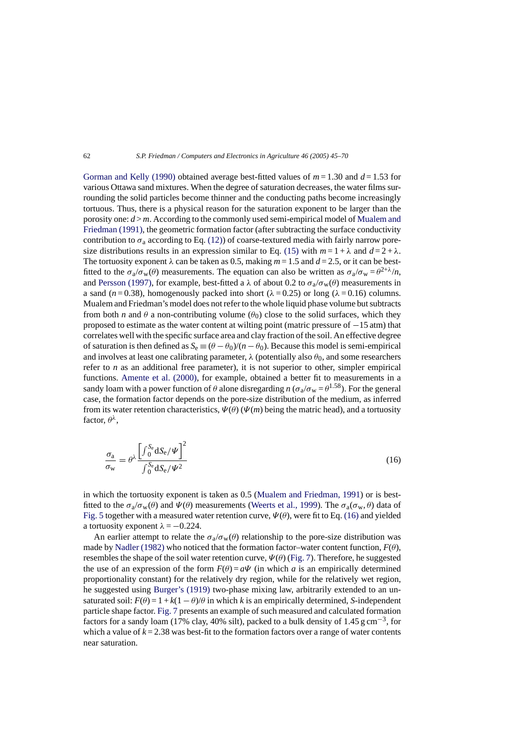<span id="page-17-0"></span>[Gorman and Kelly \(1990\)](#page-23-0) obtained average best-fitted values of  $m = 1.30$  and  $d = 1.53$  for various Ottawa sand mixtures. When the degree of saturation decreases, the water films surrounding the solid particles become thinner and the conducting paths become increasingly tortuous. Thus, there is a physical reason for the saturation exponent to be larger than the porosity one: *d* > *m*. According to the commonly used semi-empirical model of [Mualem and](#page-23-0) [Friedman \(1991\), t](#page-23-0)he geometric formation factor (after subtracting the surface conductivity contribution to  $\sigma_a$  according to Eq. [\(12\)\)](#page-13-0) of coarse-textured media with fairly narrow pore-size distributions results in an expression similar to Eq. [\(15\)](#page-16-0) with  $m = 1 + \lambda$  and  $d = 2 + \lambda$ . The tortuosity exponent  $\lambda$  can be taken as 0.5, making  $m = 1.5$  and  $d = 2.5$ , or it can be bestfitted to the  $\sigma_a/\sigma_w(\theta)$  measurements. The equation can also be written as  $\sigma_a/\sigma_w = \theta^{2+\lambda}/n$ , and [Persson \(1997\),](#page-24-0) for example, best-fitted a  $\lambda$  of about 0.2 to  $\sigma_{\alpha}/\sigma_{w}(\theta)$  measurements in a sand ( $n = 0.38$ ), homogenously packed into short ( $\lambda = 0.25$ ) or long ( $\lambda = 0.16$ ) columns. Mualem and Friedman's model does not refer to the whole liquid phase volume but subtracts from both *n* and  $\theta$  a non-contributing volume ( $\theta_0$ ) close to the solid surfaces, which they proposed to estimate as the water content at wilting point (matric pressure of −15 atm) that correlates well with the specific surface area and clay fraction of the soil. An effective degree of saturation is then defined as  $S_e \equiv (\theta - \theta_0)/(n - \theta_0)$ . Because this model is semi-empirical and involves at least one calibrating parameter,  $\lambda$  (potentially also  $\theta_0$ , and some researchers refer to *n* as an additional free parameter), it is not superior to other, simpler empirical functions. [Amente et al. \(2000\),](#page-22-0) for example, obtained a better fit to measurements in a sandy loam with a power function of  $\theta$  alone disregarding *n* ( $\sigma_a/\sigma_w = \theta^{1.58}$ ). For the general case, the formation factor depends on the pore-size distribution of the medium, as inferred from its water retention characteristics,  $\Psi(\theta)$  ( $\Psi(m)$  being the matric head), and a tortuosity factor,  $\theta^{\lambda}$ ,

$$
\frac{\sigma_{\rm a}}{\sigma_{\rm w}} = \theta^{\lambda} \frac{\left[\int_0^{S_{\rm e}} dS_{\rm e}/\Psi\right]^2}{\int_0^{S_{\rm e}} dS_{\rm e}/\Psi^2}
$$
(16)

in which the tortuosity exponent is taken as 0.5 [\(Mualem and Friedman, 1991\)](#page-23-0) or is bestfitted to the  $\sigma_a/\sigma_w(\theta)$  and  $\Psi(\theta)$  measurements ([Weerts et al., 1999\).](#page-25-0) The  $\sigma_a(\sigma_w, \theta)$  data of [Fig. 5](#page-15-0) together with a measured water retention curve,  $\Psi(\theta)$ , were fit to Eq. (16) and yielded a tortuosity exponent  $\lambda = -0.224$ .

An earlier attempt to relate the  $\sigma_{a}/\sigma_{w}(\theta)$  relationship to the pore-size distribution was made by [Nadler \(1982\)](#page-23-0) who noticed that the formation factor–water content function,  $F(\theta)$ , resembles the shape of the soil water retention curve,  $\Psi(\theta)$  ([Fig. 7\).](#page-18-0) Therefore, he suggested the use of an expression of the form  $F(\theta) = a\Psi$  (in which *a* is an empirically determined proportionality constant) for the relatively dry region, while for the relatively wet region, he suggested using [Burger's \(1919\)](#page-22-0) two-phase mixing law, arbitrarily extended to an unsaturated soil:  $F(\theta) = 1 + k(1 - \theta)/\theta$  in which *k* is an empirically determined, *S*-independent particle shape factor. [Fig. 7](#page-18-0) presents an example of such measured and calculated formation factors for a sandy loam (17% clay, 40% silt), packed to a bulk density of 1.45 g cm−3, for which a value of  $k = 2.38$  was best-fit to the formation factors over a range of water contents near saturation.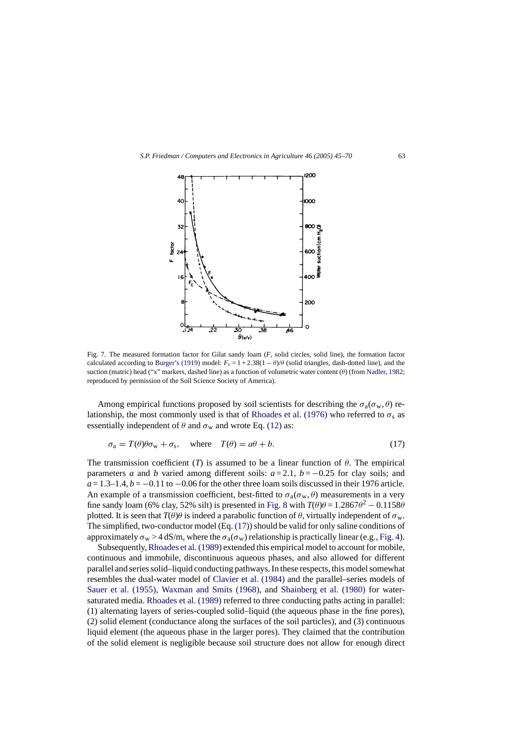<span id="page-18-0"></span>

Fig. 7. The measured formation factor for Gilat sandy loam (*F*, solid circles, solid line), the formation factor calculated according to [Burger's \(1919\)](#page-22-0) model:  $F_c = 1 + 2.38(1 - \theta)/\theta$  (solid triangles, dash-dotted line), and the suction (matric) head ("x" markers, dashed line) as a function of volumetric water content  $(\theta)$  (from [Nadler, 1982;](#page-23-0) reproduced by permission of the Soil Science Society of America).

Among empirical functions proposed by soil scientists for describing the  $\sigma_a(\sigma_w, \theta)$  re-lationship, the most commonly used is that of [Rhoades et al. \(1976\)](#page-24-0) who referred to  $\sigma_s$  as essentially independent of  $\theta$  and  $\sigma_w$  and wrote Eq. [\(12\)](#page-13-0) as:

$$
\sigma_{\rm a} = T(\theta)\theta\sigma_{\rm w} + \sigma_{\rm s}, \quad \text{where} \quad T(\theta) = a\theta + b. \tag{17}
$$

The transmission coefficient (*T*) is assumed to be a linear function of  $\theta$ . The empirical parameters *a* and *b* varied among different soils: *a* = 2.1, *b* = −0.25 for clay soils; and  $a = 1.3-1.4$ ,  $b = -0.11$  to  $-0.06$  for the other three loam soils discussed in their 1976 article. An example of a transmission coefficient, best-fitted to  $\sigma_a(\sigma_w, \theta)$  measurements in a very fine sandy loam (6% clay, 52% silt) is presented in [Fig. 8](#page-19-0) with  $T(\theta)\theta = 1.2867\theta^2 - 0.1158\theta$ plotted. It is seen that  $T(\theta)\theta$  is indeed a parabolic function of  $\theta$ , virtually independent of  $\sigma_w$ . The simplified, two-conductor model (Eq. (17)) should be valid for only saline conditions of approximately  $\sigma_w > 4$  dS/m, where the  $\sigma_a(\sigma_w)$  relationship is practically linear (e.g., [Fig. 4\).](#page-12-0)

Subsequently, [Rhoades et al. \(1989\)](#page-24-0) extended this empirical model to account for mobile, continuous and immobile, discontinuous aqueous phases, and also allowed for different parallel and series solid–liquid conducting pathways. In these respects, this model somewhat resembles the dual-water model of [Clavier et al. \(1984\)](#page-22-0) and the parallel–series models of [Sauer et al. \(1955\),](#page-24-0) [Waxman and Smits \(1968\),](#page-25-0) and [Shainberg et al. \(1980\)](#page-24-0) for water-saturated media. [Rhoades et al. \(1989\)](#page-24-0) referred to three conducting paths acting in parallel: (1) alternating layers of series-coupled solid–liquid (the aqueous phase in the fine pores), (2) solid element (conductance along the surfaces of the soil particles), and (3) continuous liquid element (the aqueous phase in the larger pores). They claimed that the contribution of the solid element is negligible because soil structure does not allow for enough direct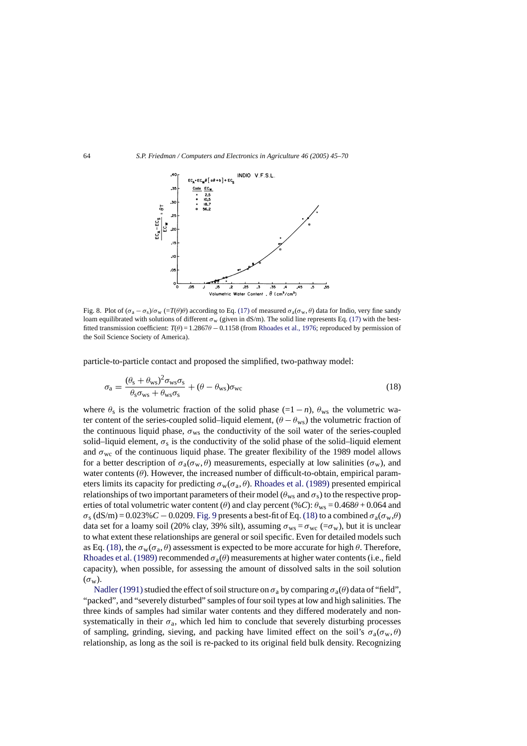<span id="page-19-0"></span>

Fig. 8. Plot of  $(\sigma_a - \sigma_s)/\sigma_w$  (= $T(\theta)\theta$ ) according to Eq. [\(17\)](#page-18-0) of measured  $\sigma_a(\sigma_w, \theta)$  data for Indio, very fine sandy loam equilibrated with solutions of different  $\sigma_w$  (given in dS/m). The solid line represents Eq. [\(17\)](#page-18-0) with the bestfitted transmission coefficient: *T*(θ) = 1.2867θ − 0.1158 (from [Rhoades et al., 1976; r](#page-24-0)eproduced by permission of the Soil Science Society of America).

particle-to-particle contact and proposed the simplified, two-pathway model:

$$
\sigma_{\rm a} = \frac{(\theta_{\rm s} + \theta_{\rm ws})^2 \sigma_{\rm ws} \sigma_{\rm s}}{\theta_{\rm s} \sigma_{\rm ws} + \theta_{\rm ws} \sigma_{\rm s}} + (\theta - \theta_{\rm ws}) \sigma_{\rm wc}
$$
\n(18)

where  $\theta_s$  is the volumetric fraction of the solid phase (=1 − *n*),  $\theta_{ws}$  the volumetric water content of the series-coupled solid–liquid element,  $(\theta - \theta_{ws})$  the volumetric fraction of the continuous liquid phase,  $\sigma_{\text{ws}}$  the conductivity of the soil water of the series-coupled solid–liquid element,  $\sigma_s$  is the conductivity of the solid phase of the solid–liquid element and  $\sigma_{\text{wc}}$  of the continuous liquid phase. The greater flexibility of the 1989 model allows for a better description of  $\sigma_a(\sigma_w, \theta)$  measurements, especially at low salinities  $(\sigma_w)$ , and water contents  $(\theta)$ . However, the increased number of difficult-to-obtain, empirical parameters limits its capacity for predicting  $\sigma_w(\sigma_a, \theta)$ . [Rhoades et al. \(1989\)](#page-24-0) presented empirical relationships of two important parameters of their model ( $\theta_{\text{ws}}$  and  $\sigma_{\text{s}}$ ) to the respective properties of total volumetric water content ( $\theta$ ) and clay percent (%*C*):  $\theta_{\text{ws}} = 0.468\theta + 0.064$  and  $\sigma_s$  (dS/m) = 0.023% *C* − 0.0209. [Fig. 9](#page-20-0) presents a best-fit of Eq. (18) to a combined  $\sigma_a(\sigma_w,\theta)$ data set for a loamy soil (20% clay, 39% silt), assuming  $\sigma_{\text{ws}} = \sigma_{\text{wc}} = \sigma_{\text{w}}$ ), but it is unclear to what extent these relationships are general or soil specific. Even for detailed models such as Eq. (18), the  $\sigma_w(\sigma_a, \theta)$  assessment is expected to be more accurate for high  $\theta$ . Therefore, [Rhoades et al. \(1989\)](#page-24-0) recommended  $\sigma_a(\theta)$  measurements at higher water contents (i.e., field capacity), when possible, for assessing the amount of dissolved salts in the soil solution  $(\sigma_{\rm w})$ .

Nadler (1991) studied the effect of soil structure on  $\sigma_a$  by comparing  $\sigma_a(\theta)$  data of "field", "packed", and "severely disturbed" samples of four soil types at low and high salinities. The three kinds of samples had similar water contents and they differed moderately and nonsystematically in their  $\sigma_a$ , which led him to conclude that severely disturbing processes of sampling, grinding, sieving, and packing have limited effect on the soil's  $\sigma_a(\sigma_w, \theta)$ relationship, as long as the soil is re-packed to its original field bulk density. Recognizing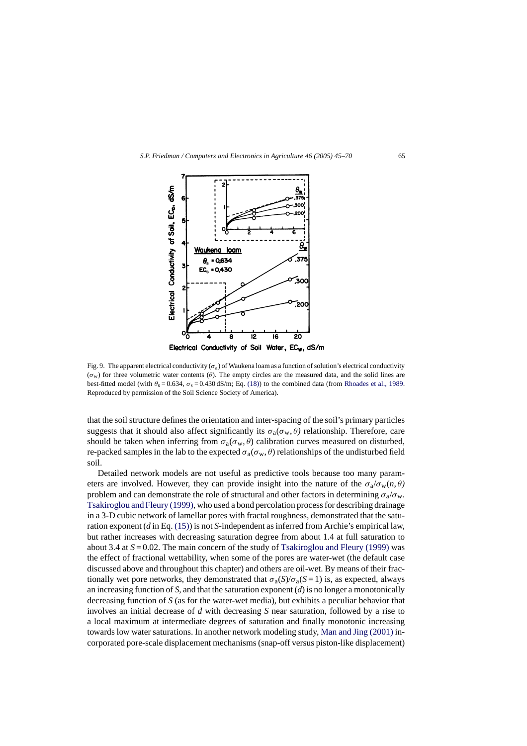<span id="page-20-0"></span>

Fig. 9. The apparent electrical conductivity ( $\sigma_a$ ) of Waukena loam as a function of solution's electrical conductivity  $(\sigma_w)$  for three volumetric water contents (θ). The empty circles are the measured data, and the solid lines are best-fitted model (with  $\theta_s = 0.634$ ,  $\sigma_s = 0.430$  dS/m; Eq. [\(18\)\) t](#page-19-0)o the combined data (from [Rhoades et al., 1989.](#page-24-0) Reproduced by permission of the Soil Science Society of America).

that the soil structure defines the orientation and inter-spacing of the soil's primary particles suggests that it should also affect significantly its  $\sigma_a(\sigma_w, \theta)$  relationship. Therefore, care should be taken when inferring from  $\sigma_a(\sigma_w, \theta)$  calibration curves measured on disturbed, re-packed samples in the lab to the expected  $\sigma_a(\sigma_w, \theta)$  relationships of the undisturbed field soil.

Detailed network models are not useful as predictive tools because too many parameters are involved. However, they can provide insight into the nature of the  $\sigma_a/\sigma_w(n,\theta)$ problem and can demonstrate the role of structural and other factors in determining  $\sigma_a/\sigma_w$ . [Tsakiroglou and Fleury \(1999\), w](#page-25-0)ho used a bond percolation process for describing drainage in a 3-D cubic network of lamellar pores with fractal roughness, demonstrated that the saturation exponent (*d* in Eq. [\(15\)\) i](#page-16-0)s not *S*-independent as inferred from Archie's empirical law, but rather increases with decreasing saturation degree from about 1.4 at full saturation to about 3.4 at  $S = 0.02$ . The main concern of the study of [Tsakiroglou and Fleury \(1999\)](#page-25-0) was the effect of fractional wettability, when some of the pores are water-wet (the default case discussed above and throughout this chapter) and others are oil-wet. By means of their fractionally wet pore networks, they demonstrated that  $\sigma_a(S)/\sigma_a(S=1)$  is, as expected, always an increasing function of *S*, and that the saturation exponent (*d*) is no longer a monotonically decreasing function of *S* (as for the water-wet media), but exhibits a peculiar behavior that involves an initial decrease of *d* with decreasing *S* near saturation, followed by a rise to a local maximum at intermediate degrees of saturation and finally monotonic increasing towards low water saturations. In another network modeling study, [Man and Jing \(2001\)](#page-23-0) incorporated pore-scale displacement mechanisms (snap-off versus piston-like displacement)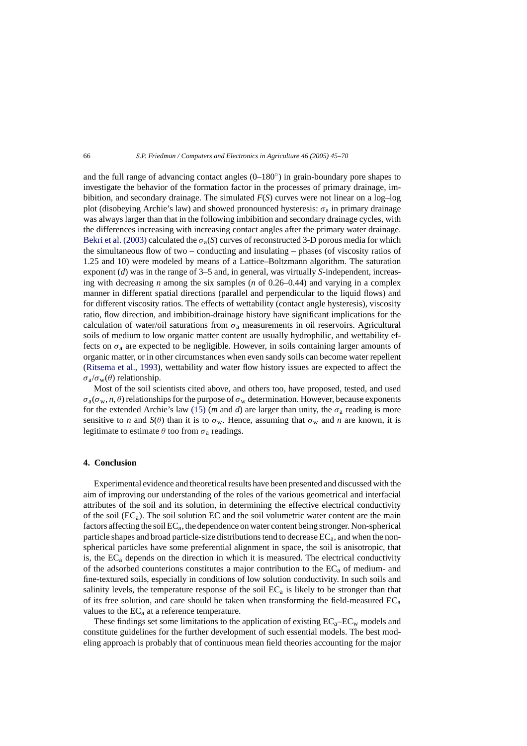and the full range of advancing contact angles  $(0-180°)$  in grain-boundary pore shapes to investigate the behavior of the formation factor in the processes of primary drainage, imbibition, and secondary drainage. The simulated *F*(*S*) curves were not linear on a log–log plot (disobeying Archie's law) and showed pronounced hysteresis:  $\sigma_a$  in primary drainage was always larger than that in the following imbibition and secondary drainage cycles, with the differences increasing with increasing contact angles after the primary water drainage. [Bekri et al. \(2003\)](#page-22-0) calculated the  $\sigma_a(S)$  curves of reconstructed 3-D porous media for which the simultaneous flow of two – conducting and insulating – phases (of viscosity ratios of 1.25 and 10) were modeled by means of a Lattice–Boltzmann algorithm. The saturation exponent (*d*) was in the range of 3–5 and, in general, was virtually *S*-independent, increasing with decreasing *n* among the six samples (*n* of 0.26–0.44) and varying in a complex manner in different spatial directions (parallel and perpendicular to the liquid flows) and for different viscosity ratios. The effects of wettability (contact angle hysteresis), viscosity ratio, flow direction, and imbibition-drainage history have significant implications for the calculation of water/oil saturations from  $\sigma_a$  measurements in oil reservoirs. Agricultural soils of medium to low organic matter content are usually hydrophilic, and wettability effects on  $\sigma_a$  are expected to be negligible. However, in soils containing larger amounts of organic matter, or in other circumstances when even sandy soils can become water repellent [\(Ritsema et al., 1993\),](#page-24-0) wettability and water flow history issues are expected to affect the  $\sigma_{a}/\sigma_{w}(\theta)$  relationship.

Most of the soil scientists cited above, and others too, have proposed, tested, and used  $\sigma_a(\sigma_w, n, \theta)$  relationships for the purpose of  $\sigma_w$  determination. However, because exponents for the extended Archie's law [\(15\)](#page-16-0) (*m* and *d*) are larger than unity, the  $\sigma_a$  reading is more sensitive to *n* and  $S(\theta)$  than it is to  $\sigma_w$ . Hence, assuming that  $\sigma_w$  and *n* are known, it is legitimate to estimate  $\theta$  too from  $\sigma_a$  readings.

### **4. Conclusion**

Experimental evidence and theoretical results have been presented and discussed with the aim of improving our understanding of the roles of the various geometrical and interfacial attributes of the soil and its solution, in determining the effective electrical conductivity of the soil  $(EC_a)$ . The soil solution EC and the soil volumetric water content are the main factors affecting the soil  $EC<sub>a</sub>$ , the dependence on water content being stronger. Non-spherical particle shapes and broad particle-size distributions tend to decrease  $EC<sub>a</sub>$ , and when the nonspherical particles have some preferential alignment in space, the soil is anisotropic, that is, the  $EC_a$  depends on the direction in which it is measured. The electrical conductivity of the adsorbed counterions constitutes a major contribution to the  $EC_a$  of medium- and fine-textured soils, especially in conditions of low solution conductivity. In such soils and salinity levels, the temperature response of the soil  $EC_a$  is likely to be stronger than that of its free solution, and care should be taken when transforming the field-measured  $EC_a$ values to the  $EC_a$  at a reference temperature.

These findings set some limitations to the application of existing  $EC_a-EC_w$  models and constitute guidelines for the further development of such essential models. The best modeling approach is probably that of continuous mean field theories accounting for the major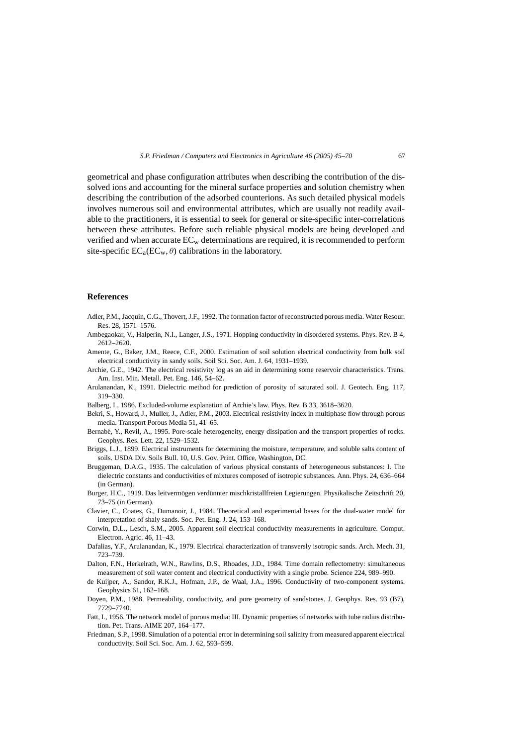<span id="page-22-0"></span>geometrical and phase configuration attributes when describing the contribution of the dissolved ions and accounting for the mineral surface properties and solution chemistry when describing the contribution of the adsorbed counterions. As such detailed physical models involves numerous soil and environmental attributes, which are usually not readily available to the practitioners, it is essential to seek for general or site-specific inter-correlations between these attributes. Before such reliable physical models are being developed and verified and when accurate  $EC_w$  determinations are required, it is recommended to perform site-specific  $EC_a(EC_w, \theta)$  calibrations in the laboratory.

## **References**

- Adler, P.M., Jacquin, C.G., Thovert, J.F., 1992. The formation factor of reconstructed porous media. Water Resour. Res. 28, 1571–1576.
- Ambegaokar, V., Halperin, N.I., Langer, J.S., 1971. Hopping conductivity in disordered systems. Phys. Rev. B 4, 2612–2620.
- Amente, G., Baker, J.M., Reece, C.F., 2000. Estimation of soil solution electrical conductivity from bulk soil electrical conductivity in sandy soils. Soil Sci. Soc. Am. J. 64, 1931–1939.
- Archie, G.E., 1942. The electrical resistivity log as an aid in determining some reservoir characteristics. Trans. Am. Inst. Min. Metall. Pet. Eng. 146, 54–62.
- Arulanandan, K., 1991. Dielectric method for prediction of porosity of saturated soil. J. Geotech. Eng. 117, 319–330.
- Balberg, I., 1986. Excluded-volume explanation of Archie's law. Phys. Rev. B 33, 3618–3620.
- Bekri, S., Howard, J., Muller, J., Adler, P.M., 2003. Electrical resistivity index in multiphase flow through porous media. Transport Porous Media 51, 41–65.
- Bernabé, Y., Revil, A., 1995. Pore-scale heterogeneity, energy dissipation and the transport properties of rocks. Geophys. Res. Lett. 22, 1529–1532.
- Briggs, L.J., 1899. Electrical instruments for determining the moisture, temperature, and soluble salts content of soils. USDA Div. Soils Bull. 10, U.S. Gov. Print. Office, Washington, DC.
- Bruggeman, D.A.G., 1935. The calculation of various physical constants of heterogeneous substances: I. The dielectric constants and conductivities of mixtures composed of isotropic substances. Ann. Phys. 24, 636–664 (in German).
- Burger, H.C., 1919. Das leitvermögen verdünnter mischkristallfreien Legierungen. Physikalische Zeitschrift 20, 73–75 (in German).
- Clavier, C., Coates, G., Dumanoir, J., 1984. Theoretical and experimental bases for the dual-water model for interpretation of shaly sands. Soc. Pet. Eng. J. 24, 153–168.
- Corwin, D.L., Lesch, S.M., 2005. Apparent soil electrical conductivity measurements in agriculture. Comput. Electron. Agric. 46, 11–43.
- Dafalias, Y.F., Arulanandan, K., 1979. Electrical characterization of transversly isotropic sands. Arch. Mech. 31, 723–739.
- Dalton, F.N., Herkelrath, W.N., Rawlins, D.S., Rhoades, J.D., 1984. Time domain reflectometry: simultaneous measurement of soil water content and electrical conductivity with a single probe. Science 224, 989–990.
- de Kuijper, A., Sandor, R.K.J., Hofman, J.P., de Waal, J.A., 1996. Conductivity of two-component systems. Geophysics 61, 162–168.
- Doyen, P.M., 1988. Permeability, conductivity, and pore geometry of sandstones. J. Geophys. Res. 93 (B7), 7729–7740.
- Fatt, I., 1956. The network model of porous media: III. Dynamic properties of networks with tube radius distribution. Pet. Trans. AIME 207, 164–177.
- Friedman, S.P., 1998. Simulation of a potential error in determining soil salinity from measured apparent electrical conductivity. Soil Sci. Soc. Am. J. 62, 593–599.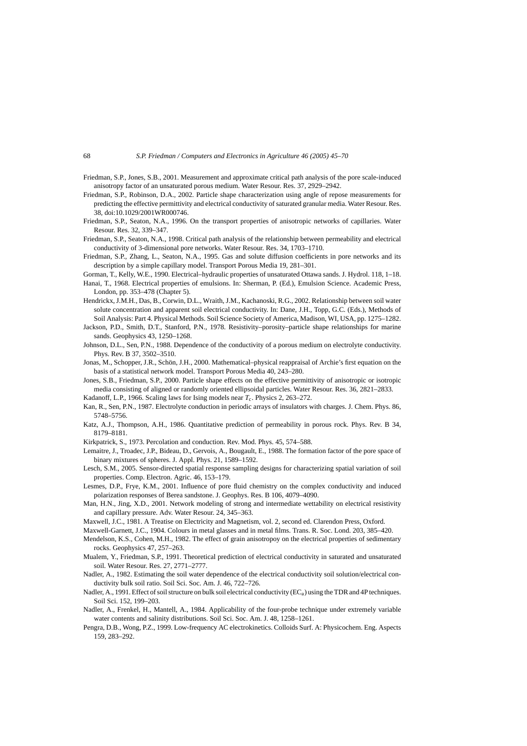- <span id="page-23-0"></span>Friedman, S.P., Jones, S.B., 2001. Measurement and approximate critical path analysis of the pore scale-induced anisotropy factor of an unsaturated porous medium. Water Resour. Res. 37, 2929–2942.
- Friedman, S.P., Robinson, D.A., 2002. Particle shape characterization using angle of repose measurements for predicting the effective permittivity and electrical conductivity of saturated granular media. Water Resour. Res. 38, doi:10.1029/2001WR000746.
- Friedman, S.P., Seaton, N.A., 1996. On the transport properties of anisotropic networks of capillaries. Water Resour. Res. 32, 339–347.
- Friedman, S.P., Seaton, N.A., 1998. Critical path analysis of the relationship between permeability and electrical conductivity of 3-dimensional pore networks. Water Resour. Res. 34, 1703–1710.
- Friedman, S.P., Zhang, L., Seaton, N.A., 1995. Gas and solute diffusion coefficients in pore networks and its description by a simple capillary model. Transport Porous Media 19, 281–301.
- Gorman, T., Kelly, W.E., 1990. Electrical–hydraulic properties of unsaturated Ottawa sands. J. Hydrol. 118, 1–18.
- Hanai, T., 1968. Electrical properties of emulsions. In: Sherman, P. (Ed.), Emulsion Science. Academic Press, London, pp. 353–478 (Chapter 5).
- Hendrickx, J.M.H., Das, B., Corwin, D.L., Wraith, J.M., Kachanoski, R.G., 2002. Relationship between soil water solute concentration and apparent soil electrical conductivity. In: Dane, J.H., Topp, G.C. (Eds.), Methods of Soil Analysis: Part 4. Physical Methods. Soil Science Society of America, Madison, WI, USA, pp. 1275–1282.
- Jackson, P.D., Smith, D.T., Stanford, P.N., 1978. Resistivity–porosity–particle shape relationships for marine sands. Geophysics 43, 1250–1268.
- Johnson, D.L., Sen, P.N., 1988. Dependence of the conductivity of a porous medium on electrolyte conductivity. Phys. Rev. B 37, 3502–3510.
- Jonas, M., Schopper, J.R., Schön, J.H., 2000. Mathematical–physical reappraisal of Archie's first equation on the basis of a statistical network model. Transport Porous Media 40, 243–280.
- Jones, S.B., Friedman, S.P., 2000. Particle shape effects on the effective permittivity of anisotropic or isotropic media consisting of aligned or randomly oriented ellipsoidal particles. Water Resour. Res. 36, 2821–2833.
- Kadanoff, L.P., 1966. Scaling laws for Ising models near  $T_c$ . Physics 2, 263–272.
- Kan, R., Sen, P.N., 1987. Electrolyte conduction in periodic arrays of insulators with charges. J. Chem. Phys. 86, 5748–5756.
- Katz, A.J., Thompson, A.H., 1986. Quantitative prediction of permeability in porous rock. Phys. Rev. B 34, 8179–8181.
- Kirkpatrick, S., 1973. Percolation and conduction. Rev. Mod. Phys. 45, 574–588.
- Lemaitre, J., Troadec, J.P., Bideau, D., Gervois, A., Bougault, E., 1988. The formation factor of the pore space of binary mixtures of spheres. J. Appl. Phys. 21, 1589–1592.
- Lesch, S.M., 2005. Sensor-directed spatial response sampling designs for characterizing spatial variation of soil properties. Comp. Electron. Agric. 46, 153–179.
- Lesmes, D.P., Frye, K.M., 2001. Influence of pore fluid chemistry on the complex conductivity and induced polarization responses of Berea sandstone. J. Geophys. Res. B 106, 4079–4090.
- Man, H.N., Jing, X.D., 2001. Network modeling of strong and intermediate wettability on electrical resistivity and capillary pressure. Adv. Water Resour. 24, 345–363.
- Maxwell, J.C., 1981. A Treatise on Electricity and Magnetism, vol. 2, second ed. Clarendon Press, Oxford.
- Maxwell-Garnett, J.C., 1904. Colours in metal glasses and in metal films. Trans. R. Soc. Lond. 203, 385–420.
- Mendelson, K.S., Cohen, M.H., 1982. The effect of grain anisotropoy on the electrical properties of sedimentary rocks. Geophysics 47, 257–263.
- Mualem, Y., Friedman, S.P., 1991. Theoretical prediction of electrical conductivity in saturated and unsaturated soil. Water Resour. Res. 27, 2771–2777.
- Nadler, A., 1982. Estimating the soil water dependence of the electrical conductivity soil solution/electrical conductivity bulk soil ratio. Soil Sci. Soc. Am. J. 46, 722–726.
- Nadler, A., 1991. Effect of soil structure on bulk soil electrical conductivity (EC<sub>a</sub>) using the TDR and 4P techniques. Soil Sci. 152, 199–203.
- Nadler, A., Frenkel, H., Mantell, A., 1984. Applicability of the four-probe technique under extremely variable water contents and salinity distributions. Soil Sci. Soc. Am. J. 48, 1258–1261.
- Pengra, D.B., Wong, P.Z., 1999. Low-frequency AC electrokinetics. Colloids Surf. A: Physicochem. Eng. Aspects 159, 283–292.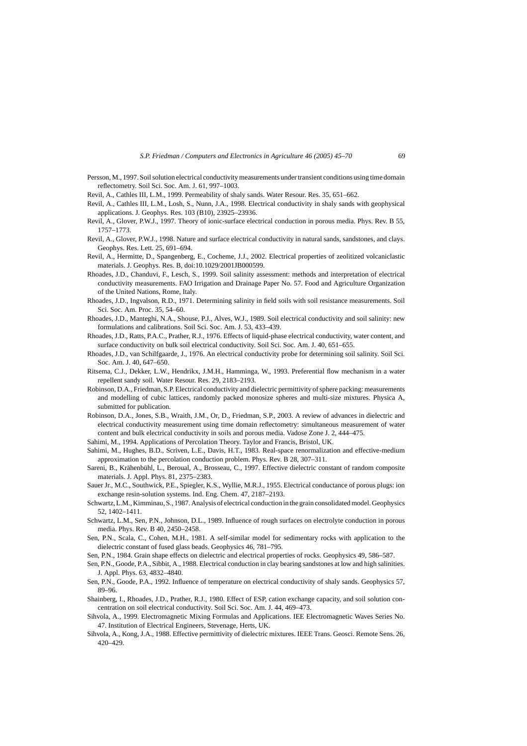- <span id="page-24-0"></span>Persson, M., 1997. Soil solution electrical conductivity measurements under transient conditions using time domain reflectometry. Soil Sci. Soc. Am. J. 61, 997–1003.
- Revil, A., Cathles III, L.M., 1999. Permeability of shaly sands. Water Resour. Res. 35, 651–662.
- Revil, A., Cathles III, L.M., Losh, S., Nunn, J.A., 1998. Electrical conductivity in shaly sands with geophysical applications. J. Geophys. Res. 103 (B10), 23925–23936.
- Revil, A., Glover, P.W.J., 1997. Theory of ionic-surface electrical conduction in porous media. Phys. Rev. B 55, 1757–1773.
- Revil, A., Glover, P.W.J., 1998. Nature and surface electrical conductivity in natural sands, sandstones, and clays. Geophys. Res. Lett. 25, 691–694.
- Revil, A., Hermitte, D., Spangenberg, E., Cocheme, J.J., 2002. Electrical properties of zeolitized volcaniclastic materials. J. Geophys. Res. B, doi:10.1029/2001JB000599.
- Rhoades, J.D., Chanduvi, F., Lesch, S., 1999. Soil salinity assessment: methods and interpretation of electrical conductivity measurements. FAO Irrigation and Drainage Paper No. 57. Food and Agriculture Organization of the United Nations, Rome, Italy.
- Rhoades, J.D., Ingvalson, R.D., 1971. Determining salinity in field soils with soil resistance measurements. Soil Sci. Soc. Am. Proc. 35, 54–60.
- Rhoades, J.D., Manteghi, N.A., Shouse, P.J., Alves, W.J., 1989. Soil electrical conductivity and soil salinity: new formulations and calibrations. Soil Sci. Soc. Am. J. 53, 433–439.
- Rhoades, J.D., Ratts, P.A.C., Prather, R.J., 1976. Effects of liquid-phase electrical conductivity, water content, and surface conductivity on bulk soil electrical conductivity. Soil Sci. Soc. Am. J. 40, 651–655.
- Rhoades, J.D., van Schilfgaarde, J., 1976. An electrical conductivity probe for determining soil salinity. Soil Sci. Soc. Am. J. 40, 647–650.
- Ritsema, C.J., Dekker, L.W., Hendrikx, J.M.H., Hamminga, W., 1993. Preferential flow mechanism in a water repellent sandy soil. Water Resour. Res. 29, 2183–2193.
- Robinson, D.A., Friedman, S.P. Electrical conductivity and dielectric permittivity of sphere packing: measurements and modelling of cubic lattices, randomly packed monosize spheres and multi-size mixtures. Physica A, submitted for publication.
- Robinson, D.A., Jones, S.B., Wraith, J.M., Or, D., Friedman, S.P., 2003. A review of advances in dielectric and electrical conductivity measurement using time domain reflectometry: simultaneous measurement of water content and bulk electrical conductivity in soils and porous media. Vadose Zone J. 2, 444–475.
- Sahimi, M., 1994. Applications of Percolation Theory. Taylor and Francis, Bristol, UK.
- Sahimi, M., Hughes, B.D., Scriven, L.E., Davis, H.T., 1983. Real-space renormalization and effective-medium approximation to the percolation conduction problem. Phys. Rev. B 28, 307–311.
- Sareni, B., Krähenbühl, L., Beroual, A., Brosseau, C., 1997. Effective dielectric constant of random composite materials. J. Appl. Phys. 81, 2375–2383.
- Sauer Jr., M.C., Southwick, P.E., Spiegler, K.S., Wyllie, M.R.J., 1955. Electrical conductance of porous plugs: ion exchange resin-solution systems. Ind. Eng. Chem. 47, 2187–2193.
- Schwartz, L.M., Kimminau, S., 1987. Analysis of electrical conduction in the grain consolidated model. Geophysics 52, 1402–1411.
- Schwartz, L.M., Sen, P.N., Johnson, D.L., 1989. Influence of rough surfaces on electrolyte conduction in porous media. Phys. Rev. B 40, 2450–2458.
- Sen, P.N., Scala, C., Cohen, M.H., 1981. A self-similar model for sedimentary rocks with application to the dielectric constant of fused glass beads. Geophysics 46, 781–795.
- Sen, P.N., 1984. Grain shape effects on dielectric and electrical properties of rocks. Geophysics 49, 586–587.
- Sen, P.N., Goode, P.A., Sibbit, A., 1988. Electrical conduction in clay bearing sandstones at low and high salinities. J. Appl. Phys. 63, 4832–4840.
- Sen, P.N., Goode, P.A., 1992. Influence of temperature on electrical conductivity of shaly sands. Geophysics 57, 89–96.
- Shainberg, I., Rhoades, J.D., Prather, R.J., 1980. Effect of ESP, cation exchange capacity, and soil solution concentration on soil electrical conductivity. Soil Sci. Soc. Am. J. 44, 469–473.
- Sihvola, A., 1999. Electromagnetic Mixing Formulas and Applications. IEE Electromagnetic Waves Series No. 47. Institution of Electrical Engineers, Stevenage, Herts, UK.
- Sihvola, A., Kong, J.A., 1988. Effective permittivity of dielectric mixtures. IEEE Trans. Geosci. Remote Sens. 26, 420–429.